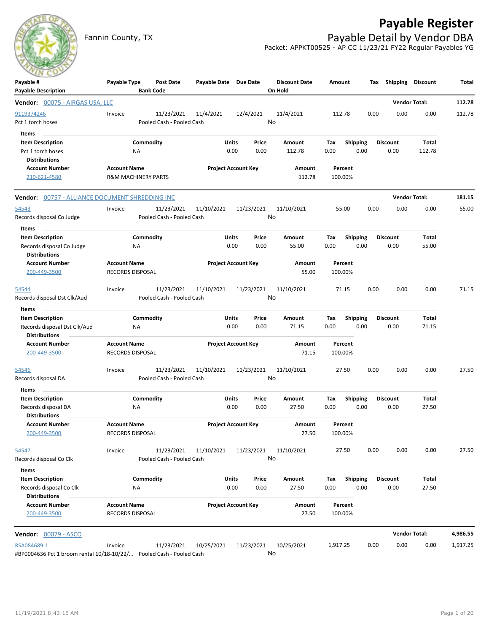# **Payable Register**



Fannin County, TX **Payable Detail by Vendor DBA** Packet: APPKT00525 - AP CC 11/23/21 FY22 Regular Payables YG

| Payable #<br><b>Payable Description</b>                              | Payable Type                   | Post Date<br><b>Bank Code</b> | Payable Date Due Date |                            | <b>Discount Date</b><br>On Hold | Amount   |                 |      | Tax Shipping    | Discount             | Total    |
|----------------------------------------------------------------------|--------------------------------|-------------------------------|-----------------------|----------------------------|---------------------------------|----------|-----------------|------|-----------------|----------------------|----------|
| <b>Vendor: 00075 - AIRGAS USA, LLC</b>                               |                                |                               |                       |                            |                                 |          |                 |      |                 | <b>Vendor Total:</b> | 112.78   |
| 9119374246                                                           | Invoice                        | 11/23/2021                    | 11/4/2021             | 12/4/2021                  | 11/4/2021                       | 112.78   |                 | 0.00 | 0.00            | 0.00                 | 112.78   |
| Pct 1 torch hoses                                                    |                                | Pooled Cash - Pooled Cash     |                       |                            | No                              |          |                 |      |                 |                      |          |
| Items                                                                |                                |                               |                       |                            |                                 |          |                 |      |                 |                      |          |
| <b>Item Description</b>                                              |                                | Commodity                     | Units                 | Price                      | Amount                          | Tax      | <b>Shipping</b> |      | <b>Discount</b> | Total                |          |
| Pct 1 torch hoses                                                    | ΝA                             |                               |                       | 0.00<br>0.00               | 112.78                          | 0.00     | 0.00            |      | 0.00            | 112.78               |          |
| <b>Distributions</b>                                                 |                                |                               |                       |                            |                                 |          |                 |      |                 |                      |          |
| <b>Account Number</b>                                                | <b>Account Name</b>            |                               |                       | <b>Project Account Key</b> | Amount                          | Percent  |                 |      |                 |                      |          |
| 210-621-4580                                                         | <b>R&amp;M MACHINERY PARTS</b> |                               |                       |                            | 112.78                          | 100.00%  |                 |      |                 |                      |          |
| Vendor: 00757 - ALLIANCE DOCUMENT SHREDDING INC                      |                                |                               |                       |                            |                                 |          |                 |      |                 | <b>Vendor Total:</b> | 181.15   |
| 54543                                                                | Invoice                        | 11/23/2021                    | 11/10/2021            | 11/23/2021                 | 11/10/2021                      | 55.00    |                 | 0.00 | 0.00            | 0.00                 | 55.00    |
| Records disposal Co Judge                                            |                                | Pooled Cash - Pooled Cash     |                       |                            | No                              |          |                 |      |                 |                      |          |
| Items                                                                |                                |                               |                       |                            |                                 |          |                 |      |                 |                      |          |
| <b>Item Description</b>                                              |                                | Commodity                     | Units                 | Price                      | Amount                          | Tax      | <b>Shipping</b> |      | <b>Discount</b> | Total                |          |
| Records disposal Co Judge                                            | ΝA                             |                               |                       | 0.00<br>0.00               | 55.00                           | 0.00     | 0.00            |      | 0.00            | 55.00                |          |
| <b>Distributions</b>                                                 |                                |                               |                       |                            |                                 |          |                 |      |                 |                      |          |
| <b>Account Number</b>                                                | <b>Account Name</b>            |                               |                       | <b>Project Account Key</b> | Amount                          | Percent  |                 |      |                 |                      |          |
| 200-449-3500                                                         | RECORDS DISPOSAL               |                               |                       |                            | 55.00                           | 100.00%  |                 |      |                 |                      |          |
| 54544                                                                | Invoice                        | 11/23/2021                    | 11/10/2021            | 11/23/2021                 | 11/10/2021                      | 71.15    |                 | 0.00 | 0.00            | 0.00                 | 71.15    |
| Records disposal Dst Clk/Aud                                         |                                | Pooled Cash - Pooled Cash     |                       |                            | No                              |          |                 |      |                 |                      |          |
| Items                                                                |                                |                               |                       |                            |                                 |          |                 |      |                 |                      |          |
| <b>Item Description</b>                                              |                                | Commodity                     | <b>Units</b>          | Price                      | Amount                          | Tax      | <b>Shipping</b> |      | <b>Discount</b> | Total                |          |
| Records disposal Dst Clk/Aud                                         | NA                             |                               |                       | 0.00<br>0.00               | 71.15                           | 0.00     | 0.00            |      | 0.00            | 71.15                |          |
| <b>Distributions</b>                                                 |                                |                               |                       |                            |                                 |          |                 |      |                 |                      |          |
| <b>Account Number</b>                                                | <b>Account Name</b>            |                               |                       | <b>Project Account Key</b> | Amount                          | Percent  |                 |      |                 |                      |          |
| 200-449-3500                                                         | RECORDS DISPOSAL               |                               |                       |                            | 71.15                           | 100.00%  |                 |      |                 |                      |          |
| 54546                                                                | Invoice                        | 11/23/2021                    | 11/10/2021            | 11/23/2021                 | 11/10/2021                      | 27.50    |                 | 0.00 | 0.00            | 0.00                 | 27.50    |
| Records disposal DA                                                  |                                | Pooled Cash - Pooled Cash     |                       |                            | No                              |          |                 |      |                 |                      |          |
| Items                                                                |                                |                               |                       |                            |                                 |          |                 |      |                 |                      |          |
| <b>Item Description</b>                                              |                                | Commodity                     | <b>Units</b>          | Price                      | Amount                          | Тах      | Shipping        |      | <b>Discount</b> | Total                |          |
| Records disposal DA                                                  | NA                             |                               |                       | 0.00<br>0.00               | 27.50                           | 0.00     | 0.00            |      | 0.00            | 27.50                |          |
| <b>Distributions</b>                                                 |                                |                               |                       |                            |                                 |          |                 |      |                 |                      |          |
| <b>Account Number</b>                                                | <b>Account Name</b>            |                               |                       | <b>Project Account Key</b> | Amount                          | Percent  |                 |      |                 |                      |          |
| 200-449-3500                                                         | RECORDS DISPOSAL               |                               |                       |                            | 27.50                           | 100.00%  |                 |      |                 |                      |          |
| 54547                                                                | Invoice                        | 11/23/2021                    | 11/10/2021            | 11/23/2021                 | 11/10/2021                      | 27.50    |                 | 0.00 | 0.00            | 0.00                 | 27.50    |
| Records disposal Co Clk                                              |                                | Pooled Cash - Pooled Cash     |                       |                            | No                              |          |                 |      |                 |                      |          |
|                                                                      |                                |                               |                       |                            |                                 |          |                 |      |                 |                      |          |
| Items<br><b>Item Description</b>                                     |                                | Commodity                     | Units                 | Price                      | Amount                          | Tax      | Shipping        |      | <b>Discount</b> | Total                |          |
| Records disposal Co Clk                                              | NA                             |                               |                       | 0.00<br>0.00               | 27.50                           | 0.00     | 0.00            |      | 0.00            | 27.50                |          |
| <b>Distributions</b>                                                 |                                |                               |                       |                            |                                 |          |                 |      |                 |                      |          |
| <b>Account Number</b>                                                | <b>Account Name</b>            |                               |                       | <b>Project Account Key</b> | Amount                          | Percent  |                 |      |                 |                      |          |
| 200-449-3500                                                         | RECORDS DISPOSAL               |                               |                       |                            | 27.50                           | 100.00%  |                 |      |                 |                      |          |
| <b>Vendor: 00079 - ASCO</b>                                          |                                |                               |                       |                            |                                 |          |                 |      |                 | <b>Vendor Total:</b> | 4,986.55 |
| RSA084689-1                                                          | Invoice                        | 11/23/2021                    | 10/25/2021            | 11/23/2021                 | 10/25/2021                      | 1,917.25 |                 | 0.00 | 0.00            | 0.00                 | 1,917.25 |
| #BP0004636 Pct 1 broom rental 10/18-10/22/ Pooled Cash - Pooled Cash |                                |                               |                       |                            | No                              |          |                 |      |                 |                      |          |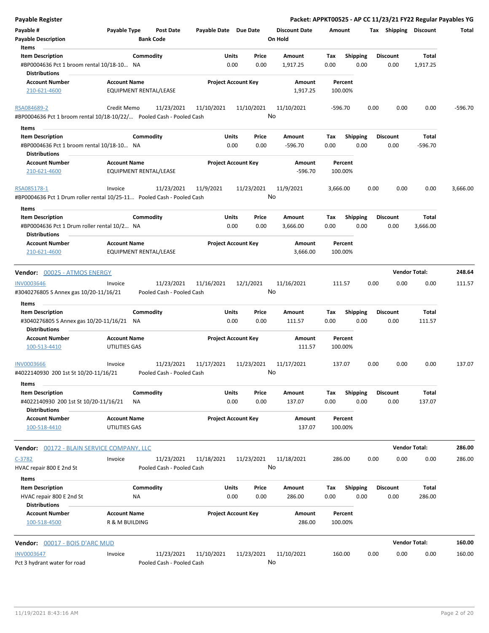| <b>Payable Register</b>                                                                        |                                               |                                         |                       |                            |                                 |             |                         |      |                         | Packet: APPKT00525 - AP CC 11/23/21 FY22 Regular Payables YG |           |
|------------------------------------------------------------------------------------------------|-----------------------------------------------|-----------------------------------------|-----------------------|----------------------------|---------------------------------|-------------|-------------------------|------|-------------------------|--------------------------------------------------------------|-----------|
| Payable #<br><b>Payable Description</b>                                                        | Payable Type<br><b>Bank Code</b>              | <b>Post Date</b>                        | Payable Date Due Date |                            | <b>Discount Date</b><br>On Hold | Amount      |                         |      |                         | Tax Shipping Discount                                        | Total     |
| Items<br><b>Item Description</b>                                                               | Commodity                                     |                                         | Units                 | Price                      | Amount                          | Tax         | <b>Shipping</b>         |      | <b>Discount</b>         | Total                                                        |           |
| #BP0004636 Pct 1 broom rental 10/18-10 NA<br><b>Distributions</b>                              |                                               |                                         | 0.00                  | 0.00                       | 1,917.25                        | 0.00        | 0.00                    |      | 0.00                    | 1,917.25                                                     |           |
| <b>Account Number</b>                                                                          | <b>Account Name</b>                           |                                         |                       | <b>Project Account Key</b> | Amount                          |             | Percent                 |      |                         |                                                              |           |
| 210-621-4600                                                                                   | EQUIPMENT RENTAL/LEASE                        |                                         |                       |                            | 1,917.25                        |             | 100.00%                 |      |                         |                                                              |           |
| RSA084689-2                                                                                    | Credit Memo                                   | 11/23/2021                              | 11/10/2021            | 11/10/2021                 | 11/10/2021                      |             | -596.70                 | 0.00 | 0.00                    | 0.00                                                         | $-596.70$ |
| #BP0004636 Pct 1 broom rental 10/18-10/22/ Pooled Cash - Pooled Cash                           |                                               |                                         |                       |                            | No                              |             |                         |      |                         |                                                              |           |
| Items                                                                                          |                                               |                                         |                       |                            |                                 |             |                         |      |                         |                                                              |           |
| <b>Item Description</b>                                                                        | Commodity                                     |                                         | Units                 | Price                      | Amount                          | Tax         | <b>Shipping</b>         |      | <b>Discount</b>         | Total                                                        |           |
| #BP0004636 Pct 1 broom rental 10/18-10 NA<br><b>Distributions</b>                              |                                               |                                         |                       | 0.00<br>0.00               | $-596.70$                       | 0.00        | 0.00                    |      | 0.00                    | -596.70                                                      |           |
| <b>Account Number</b><br>210-621-4600                                                          | <b>Account Name</b><br>EQUIPMENT RENTAL/LEASE |                                         |                       | <b>Project Account Key</b> | Amount<br>$-596.70$             |             | Percent<br>100.00%      |      |                         |                                                              |           |
| RSA085178-1                                                                                    | Invoice                                       | 11/23/2021                              | 11/9/2021             | 11/23/2021                 | 11/9/2021                       | 3,666.00    |                         | 0.00 | 0.00                    | 0.00                                                         | 3,666.00  |
| #BP0004636 Pct 1 Drum roller rental 10/25-11 Pooled Cash - Pooled Cash                         |                                               |                                         |                       |                            | No                              |             |                         |      |                         |                                                              |           |
| Items                                                                                          |                                               |                                         |                       |                            |                                 |             |                         |      |                         |                                                              |           |
| <b>Item Description</b><br>#BP0004636 Pct 1 Drum roller rental 10/2 NA<br><b>Distributions</b> | Commodity                                     |                                         | Units                 | Price<br>0.00<br>0.00      | Amount<br>3,666.00              | Tax<br>0.00 | <b>Shipping</b><br>0.00 |      | <b>Discount</b><br>0.00 | Total<br>3,666.00                                            |           |
| <b>Account Number</b>                                                                          | <b>Account Name</b>                           |                                         |                       | <b>Project Account Key</b> | Amount                          |             | Percent                 |      |                         |                                                              |           |
| 210-621-4600                                                                                   | EQUIPMENT RENTAL/LEASE                        |                                         |                       |                            | 3,666.00                        |             | 100.00%                 |      |                         |                                                              |           |
| Vendor: 00025 - ATMOS ENERGY                                                                   |                                               |                                         |                       |                            |                                 |             |                         |      |                         | <b>Vendor Total:</b>                                         | 248.64    |
| <b>INV0003646</b><br>#3040276805 S Annex gas 10/20-11/16/21                                    | Invoice                                       | 11/23/2021<br>Pooled Cash - Pooled Cash | 11/16/2021            | 12/1/2021                  | 11/16/2021<br>No                |             | 111.57                  | 0.00 | 0.00                    | 0.00                                                         | 111.57    |
| Items                                                                                          |                                               |                                         |                       |                            |                                 |             |                         |      |                         |                                                              |           |
| <b>Item Description</b><br>#3040276805 S Annex gas 10/20-11/16/21 NA                           | Commodity                                     |                                         | Units                 | Price<br>0.00<br>0.00      | Amount<br>111.57                | Tax<br>0.00 | <b>Shipping</b><br>0.00 |      | <b>Discount</b><br>0.00 | Total<br>111.57                                              |           |
| <b>Distributions</b>                                                                           |                                               |                                         |                       |                            |                                 |             |                         |      |                         |                                                              |           |
| <b>Account Number</b><br>100-513-4410                                                          | <b>Account Name</b><br>UTILITIES GAS          |                                         |                       | <b>Project Account Key</b> | Amount<br>111.57                |             | Percent<br>100.00%      |      |                         |                                                              |           |
| <b>INV0003666</b>                                                                              | Invoice                                       | 11/23/2021                              | 11/17/2021            | 11/23/2021                 | 11/17/2021                      |             | 137.07                  | 0.00 | 0.00                    | 0.00                                                         | 137.07    |
| #4022140930 200 1st St 10/20-11/16/21<br>Items                                                 |                                               | Pooled Cash - Pooled Cash               |                       |                            | No                              |             |                         |      |                         |                                                              |           |
| <b>Item Description</b>                                                                        | Commodity                                     |                                         | Units                 | Price                      | Amount                          | Tax         | <b>Shipping</b>         |      | <b>Discount</b>         | Total                                                        |           |
| #4022140930 200 1st St 10/20-11/16/21<br><b>Distributions</b>                                  | ΝA                                            |                                         |                       | 0.00<br>0.00               | 137.07                          | 0.00        | 0.00                    |      | 0.00                    | 137.07                                                       |           |
| <b>Account Number</b>                                                                          | <b>Account Name</b>                           |                                         |                       | <b>Project Account Key</b> | Amount                          |             | Percent                 |      |                         |                                                              |           |
| 100-518-4410                                                                                   | UTILITIES GAS                                 |                                         |                       |                            | 137.07                          |             | 100.00%                 |      |                         |                                                              |           |
| Vendor: 00172 - BLAIN SERVICE COMPANY, LLC                                                     |                                               |                                         |                       |                            |                                 |             |                         |      |                         | <b>Vendor Total:</b>                                         | 286.00    |
| $C-3782$                                                                                       | Invoice                                       | 11/23/2021                              | 11/18/2021            | 11/23/2021                 | 11/18/2021                      |             | 286.00                  | 0.00 | 0.00                    | 0.00                                                         | 286.00    |
| HVAC repair 800 E 2nd St<br>Items                                                              |                                               | Pooled Cash - Pooled Cash               |                       |                            | No                              |             |                         |      |                         |                                                              |           |
| <b>Item Description</b>                                                                        | Commodity                                     |                                         | Units                 | Price                      | Amount                          | Tax         | <b>Shipping</b>         |      | <b>Discount</b>         | Total                                                        |           |
| HVAC repair 800 E 2nd St<br><b>Distributions</b>                                               | <b>NA</b>                                     |                                         |                       | 0.00<br>0.00               | 286.00                          | 0.00        | 0.00                    |      | 0.00                    | 286.00                                                       |           |
| <b>Account Number</b><br>100-518-4500                                                          | <b>Account Name</b><br>R & M BUILDING         |                                         |                       | <b>Project Account Key</b> | Amount<br>286.00                |             | Percent<br>100.00%      |      |                         |                                                              |           |
| Vendor: 00017 - BOIS D'ARC MUD                                                                 |                                               |                                         |                       |                            |                                 |             |                         |      |                         | <b>Vendor Total:</b>                                         | 160.00    |
| <b>INV0003647</b>                                                                              | Invoice                                       | 11/23/2021                              | 11/10/2021            | 11/23/2021                 | 11/10/2021                      |             | 160.00                  | 0.00 | 0.00                    | 0.00                                                         | 160.00    |
| Pct 3 hydrant water for road                                                                   |                                               | Pooled Cash - Pooled Cash               |                       |                            | No                              |             |                         |      |                         |                                                              |           |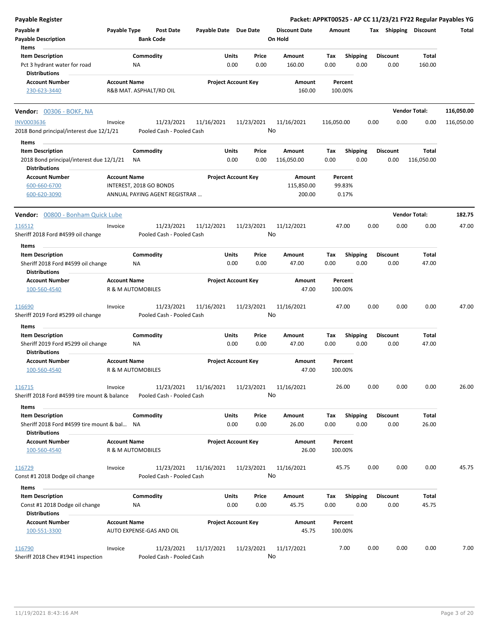| <b>Payable Register</b>                                          |                     |                                         |                            |      |               |                      |             |                         |      |                         |                       | Packet: APPKT00525 - AP CC 11/23/21 FY22 Regular Payables YG |
|------------------------------------------------------------------|---------------------|-----------------------------------------|----------------------------|------|---------------|----------------------|-------------|-------------------------|------|-------------------------|-----------------------|--------------------------------------------------------------|
| Payable #                                                        | Payable Type        | <b>Post Date</b>                        | Payable Date Due Date      |      |               | <b>Discount Date</b> | Amount      |                         |      |                         | Tax Shipping Discount | Total                                                        |
| <b>Payable Description</b>                                       |                     | <b>Bank Code</b>                        |                            |      |               | On Hold              |             |                         |      |                         |                       |                                                              |
| Items                                                            |                     |                                         |                            |      |               |                      |             |                         |      |                         |                       |                                                              |
| <b>Item Description</b>                                          |                     | Commodity                               | <b>Units</b>               |      | Price         | Amount               | Tax         | <b>Shipping</b>         |      | <b>Discount</b>         | Total                 |                                                              |
| Pct 3 hydrant water for road                                     |                     | NA                                      |                            | 0.00 | 0.00          | 160.00               | 0.00        | 0.00                    |      |                         | 160.00                |                                                              |
|                                                                  |                     |                                         |                            |      |               |                      |             |                         |      | 0.00                    |                       |                                                              |
| <b>Distributions</b>                                             |                     |                                         |                            |      |               |                      |             |                         |      |                         |                       |                                                              |
| <b>Account Number</b>                                            | <b>Account Name</b> |                                         | <b>Project Account Key</b> |      |               | Amount               |             | Percent                 |      |                         |                       |                                                              |
| 230-623-3440                                                     |                     | R&B MAT. ASPHALT/RD OIL                 |                            |      |               | 160.00               |             | 100.00%                 |      |                         |                       |                                                              |
| <b>Vendor: 00306 - BOKF, NA</b>                                  |                     |                                         |                            |      |               |                      |             |                         |      |                         | <b>Vendor Total:</b>  | 116,050.00                                                   |
| <b>INV0003636</b>                                                | Invoice             | 11/23/2021                              | 11/16/2021                 |      | 11/23/2021    | 11/16/2021           | 116,050.00  |                         | 0.00 | 0.00                    | 0.00                  | 116,050.00                                                   |
| 2018 Bond principal/interest due 12/1/21                         |                     | Pooled Cash - Pooled Cash               |                            |      |               | No                   |             |                         |      |                         |                       |                                                              |
| Items                                                            |                     |                                         |                            |      |               |                      |             |                         |      |                         |                       |                                                              |
| <b>Item Description</b>                                          |                     | Commodity                               | <b>Units</b>               |      | Price         | Amount               | Tax         | <b>Shipping</b>         |      | <b>Discount</b>         | Total                 |                                                              |
|                                                                  |                     |                                         |                            | 0.00 |               |                      |             | 0.00                    |      |                         |                       |                                                              |
| 2018 Bond principal/interest due 12/1/21<br><b>Distributions</b> |                     | NA.                                     |                            |      | 0.00          | 116,050.00           | 0.00        |                         |      | 0.00                    | 116,050.00            |                                                              |
| <b>Account Number</b>                                            | <b>Account Name</b> |                                         | <b>Project Account Key</b> |      |               | Amount               |             | Percent                 |      |                         |                       |                                                              |
| 600-660-6700                                                     |                     | INTEREST, 2018 GO BONDS                 |                            |      |               | 115,850.00           |             | 99.83%                  |      |                         |                       |                                                              |
| 600-620-3090                                                     |                     | ANNUAL PAYING AGENT REGISTRAR           |                            |      |               | 200.00               |             | 0.17%                   |      |                         |                       |                                                              |
|                                                                  |                     |                                         |                            |      |               |                      |             |                         |      |                         |                       |                                                              |
| Vendor: 00800 - Bonham Quick Lube                                |                     |                                         |                            |      |               |                      |             |                         |      |                         | <b>Vendor Total:</b>  | 182.75                                                       |
| 116512                                                           | Invoice             | 11/23/2021                              | 11/12/2021                 |      | 11/23/2021    | 11/12/2021           |             | 47.00                   | 0.00 | 0.00                    | 0.00                  | 47.00                                                        |
| Sheriff 2018 Ford #4599 oil change                               |                     | Pooled Cash - Pooled Cash               |                            |      |               | No                   |             |                         |      |                         |                       |                                                              |
|                                                                  |                     |                                         |                            |      |               |                      |             |                         |      |                         |                       |                                                              |
| Items                                                            |                     |                                         |                            |      |               |                      |             |                         |      |                         |                       |                                                              |
| <b>Item Description</b>                                          |                     | Commodity                               | Units                      |      | Price         | Amount               | Tax         | Shipping                |      | <b>Discount</b>         | Total                 |                                                              |
| Sheriff 2018 Ford #4599 oil change<br><b>Distributions</b>       |                     | NA                                      |                            | 0.00 | 0.00          | 47.00                | 0.00        | 0.00                    |      | 0.00                    | 47.00                 |                                                              |
| <b>Account Number</b>                                            | <b>Account Name</b> |                                         | <b>Project Account Key</b> |      |               | Amount               |             | Percent                 |      |                         |                       |                                                              |
| 100-560-4540                                                     |                     | <b>R &amp; M AUTOMOBILES</b>            |                            |      |               | 47.00                |             | 100.00%                 |      |                         |                       |                                                              |
| 116690                                                           | Invoice             | 11/23/2021                              | 11/16/2021                 |      | 11/23/2021    | 11/16/2021           |             | 47.00                   | 0.00 | 0.00                    | 0.00                  | 47.00                                                        |
| Sheriff 2019 Ford #5299 oil change                               |                     | Pooled Cash - Pooled Cash               |                            |      |               | No                   |             |                         |      |                         |                       |                                                              |
|                                                                  |                     |                                         |                            |      |               |                      |             |                         |      |                         |                       |                                                              |
| Items                                                            |                     |                                         |                            |      |               |                      |             |                         |      |                         |                       |                                                              |
| <b>Item Description</b>                                          |                     | Commodity                               | <b>Units</b>               |      | Price         | Amount               | Tax         | <b>Shipping</b>         |      | <b>Discount</b>         | Total                 |                                                              |
| Sheriff 2019 Ford #5299 oil change                               |                     | ΝA                                      |                            | 0.00 | 0.00          | 47.00                | 0.00        | 0.00                    |      | 0.00                    | 47.00                 |                                                              |
| <b>Distributions</b>                                             |                     |                                         |                            |      |               |                      |             |                         |      |                         |                       |                                                              |
| <b>Account Number</b>                                            | <b>Account Name</b> |                                         | <b>Project Account Key</b> |      |               | Amount               |             | Percent                 |      |                         |                       |                                                              |
| 100-560-4540                                                     |                     | R & M AUTOMOBILES                       |                            |      |               | 47.00                |             | 100.00%                 |      |                         |                       |                                                              |
| 116715                                                           | Invoice             | 11/23/2021                              | 11/16/2021                 |      | 11/23/2021    | 11/16/2021           |             | 26.00                   | 0.00 | 0.00                    | 0.00                  | 26.00                                                        |
| Sheriff 2018 Ford #4599 tire mount & balance                     |                     | Pooled Cash - Pooled Cash               |                            |      |               | No                   |             |                         |      |                         |                       |                                                              |
| Items                                                            |                     |                                         |                            |      |               |                      |             |                         |      |                         |                       |                                                              |
| <b>Item Description</b>                                          |                     | Commodity                               | <b>Units</b>               |      | Price         | Amount               | Tax         | <b>Shipping</b>         |      | <b>Discount</b>         | Total                 |                                                              |
| Sheriff 2018 Ford #4599 tire mount & bal                         |                     | NA.                                     |                            | 0.00 | 0.00          | 26.00                | 0.00        | 0.00                    |      | 0.00                    | 26.00                 |                                                              |
| <b>Distributions</b>                                             |                     |                                         |                            |      |               |                      |             |                         |      |                         |                       |                                                              |
| <b>Account Number</b><br>100-560-4540                            | <b>Account Name</b> | R & M AUTOMOBILES                       | <b>Project Account Key</b> |      |               | Amount<br>26.00      |             | Percent<br>100.00%      |      |                         |                       |                                                              |
|                                                                  |                     |                                         |                            |      |               |                      |             |                         |      |                         |                       |                                                              |
| 116729<br>Const #1 2018 Dodge oil change                         | Invoice             | 11/23/2021<br>Pooled Cash - Pooled Cash | 11/16/2021                 |      | 11/23/2021    | 11/16/2021<br>No     |             | 45.75                   | 0.00 | 0.00                    | 0.00                  | 45.75                                                        |
|                                                                  |                     |                                         |                            |      |               |                      |             |                         |      |                         |                       |                                                              |
| Items                                                            |                     |                                         |                            |      |               |                      |             |                         |      |                         |                       |                                                              |
| <b>Item Description</b><br>Const #1 2018 Dodge oil change        |                     | Commodity<br>NA                         | <b>Units</b>               | 0.00 | Price<br>0.00 | Amount<br>45.75      | Tax<br>0.00 | <b>Shipping</b><br>0.00 |      | <b>Discount</b><br>0.00 | Total<br>45.75        |                                                              |
| <b>Distributions</b>                                             |                     |                                         |                            |      |               |                      |             |                         |      |                         |                       |                                                              |
| <b>Account Number</b>                                            | <b>Account Name</b> |                                         | <b>Project Account Key</b> |      |               | Amount               |             | Percent                 |      |                         |                       |                                                              |
| 100-551-3300                                                     |                     | AUTO EXPENSE-GAS AND OIL                |                            |      |               | 45.75                |             | 100.00%                 |      |                         |                       |                                                              |
| 116790                                                           | Invoice             | 11/23/2021                              | 11/17/2021                 |      | 11/23/2021    | 11/17/2021           |             | 7.00                    | 0.00 | 0.00                    | 0.00                  | 7.00                                                         |
| Sheriff 2018 Chev #1941 inspection                               |                     | Pooled Cash - Pooled Cash               |                            |      |               | No                   |             |                         |      |                         |                       |                                                              |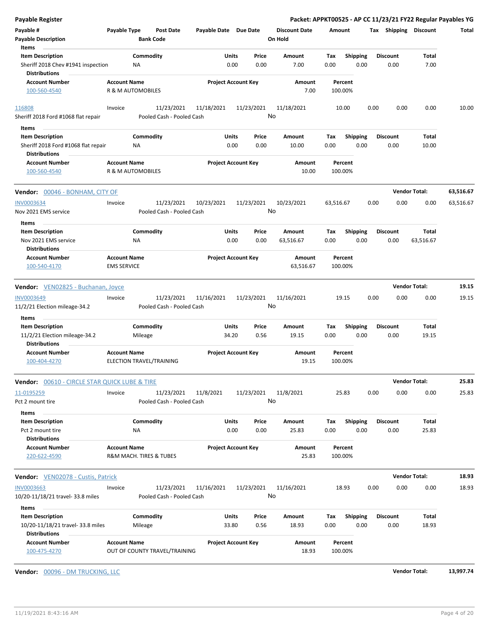|       |                                             |                                                                                                                      |                                                                                             |                                                                       |                                                                                                                                                                                                                |                                                          |                                                                                                                                                                                                                   |                                                        |                                                                                                                                                                                                                                                                                                                                                                                                              |                          | <b>Payable Register</b>                                                                                                                                                                                                                                                                                                                                                                                                                     |
|-------|---------------------------------------------|----------------------------------------------------------------------------------------------------------------------|---------------------------------------------------------------------------------------------|-----------------------------------------------------------------------|----------------------------------------------------------------------------------------------------------------------------------------------------------------------------------------------------------------|----------------------------------------------------------|-------------------------------------------------------------------------------------------------------------------------------------------------------------------------------------------------------------------|--------------------------------------------------------|--------------------------------------------------------------------------------------------------------------------------------------------------------------------------------------------------------------------------------------------------------------------------------------------------------------------------------------------------------------------------------------------------------------|--------------------------|---------------------------------------------------------------------------------------------------------------------------------------------------------------------------------------------------------------------------------------------------------------------------------------------------------------------------------------------------------------------------------------------------------------------------------------------|
|       |                                             |                                                                                                                      |                                                                                             |                                                                       |                                                                                                                                                                                                                | <b>Discount Date</b>                                     |                                                                                                                                                                                                                   |                                                        | <b>Post Date</b>                                                                                                                                                                                                                                                                                                                                                                                             | Payable Type             | Payable #                                                                                                                                                                                                                                                                                                                                                                                                                                   |
|       |                                             |                                                                                                                      |                                                                                             |                                                                       |                                                                                                                                                                                                                |                                                          |                                                                                                                                                                                                                   |                                                        |                                                                                                                                                                                                                                                                                                                                                                                                              |                          | <b>Payable Description</b>                                                                                                                                                                                                                                                                                                                                                                                                                  |
|       |                                             |                                                                                                                      |                                                                                             |                                                                       |                                                                                                                                                                                                                |                                                          |                                                                                                                                                                                                                   |                                                        |                                                                                                                                                                                                                                                                                                                                                                                                              |                          | Items                                                                                                                                                                                                                                                                                                                                                                                                                                       |
| Total |                                             |                                                                                                                      |                                                                                             | Tax                                                                   |                                                                                                                                                                                                                | Amount                                                   | Price                                                                                                                                                                                                             |                                                        |                                                                                                                                                                                                                                                                                                                                                                                                              |                          | <b>Item Description</b>                                                                                                                                                                                                                                                                                                                                                                                                                     |
| 7.00  | 0.00                                        |                                                                                                                      | 0.00                                                                                        |                                                                       |                                                                                                                                                                                                                | 7.00                                                     | 0.00                                                                                                                                                                                                              |                                                        |                                                                                                                                                                                                                                                                                                                                                                                                              | <b>NA</b>                | Sheriff 2018 Chev #1941 inspection                                                                                                                                                                                                                                                                                                                                                                                                          |
|       |                                             |                                                                                                                      |                                                                                             |                                                                       |                                                                                                                                                                                                                |                                                          |                                                                                                                                                                                                                   |                                                        |                                                                                                                                                                                                                                                                                                                                                                                                              |                          | <b>Distributions</b>                                                                                                                                                                                                                                                                                                                                                                                                                        |
|       |                                             |                                                                                                                      |                                                                                             |                                                                       |                                                                                                                                                                                                                |                                                          |                                                                                                                                                                                                                   |                                                        |                                                                                                                                                                                                                                                                                                                                                                                                              | <b>Account Name</b>      | <b>Account Number</b>                                                                                                                                                                                                                                                                                                                                                                                                                       |
|       |                                             |                                                                                                                      |                                                                                             |                                                                       |                                                                                                                                                                                                                |                                                          |                                                                                                                                                                                                                   |                                                        |                                                                                                                                                                                                                                                                                                                                                                                                              |                          | 100-560-4540                                                                                                                                                                                                                                                                                                                                                                                                                                |
| 0.00  | 0.00                                        |                                                                                                                      |                                                                                             | 10.00                                                                 |                                                                                                                                                                                                                | 11/18/2021                                               |                                                                                                                                                                                                                   |                                                        | 11/23/2021                                                                                                                                                                                                                                                                                                                                                                                                   | Invoice                  | 116808                                                                                                                                                                                                                                                                                                                                                                                                                                      |
|       |                                             |                                                                                                                      |                                                                                             |                                                                       |                                                                                                                                                                                                                |                                                          |                                                                                                                                                                                                                   |                                                        |                                                                                                                                                                                                                                                                                                                                                                                                              |                          | Sheriff 2018 Ford #1068 flat repair                                                                                                                                                                                                                                                                                                                                                                                                         |
|       |                                             |                                                                                                                      |                                                                                             |                                                                       |                                                                                                                                                                                                                |                                                          |                                                                                                                                                                                                                   |                                                        |                                                                                                                                                                                                                                                                                                                                                                                                              |                          | Items                                                                                                                                                                                                                                                                                                                                                                                                                                       |
| Total |                                             |                                                                                                                      |                                                                                             | Tax                                                                   |                                                                                                                                                                                                                | Amount                                                   | Price                                                                                                                                                                                                             |                                                        |                                                                                                                                                                                                                                                                                                                                                                                                              |                          | <b>Item Description</b>                                                                                                                                                                                                                                                                                                                                                                                                                     |
| 10.00 | 0.00                                        |                                                                                                                      | 0.00                                                                                        |                                                                       |                                                                                                                                                                                                                | 10.00                                                    | 0.00                                                                                                                                                                                                              |                                                        |                                                                                                                                                                                                                                                                                                                                                                                                              | <b>NA</b>                | Sheriff 2018 Ford #1068 flat repair<br><b>Distributions</b>                                                                                                                                                                                                                                                                                                                                                                                 |
|       |                                             |                                                                                                                      |                                                                                             |                                                                       |                                                                                                                                                                                                                |                                                          |                                                                                                                                                                                                                   |                                                        |                                                                                                                                                                                                                                                                                                                                                                                                              |                          |                                                                                                                                                                                                                                                                                                                                                                                                                                             |
|       |                                             |                                                                                                                      |                                                                                             |                                                                       |                                                                                                                                                                                                                |                                                          |                                                                                                                                                                                                                   |                                                        |                                                                                                                                                                                                                                                                                                                                                                                                              |                          | <b>Account Number</b><br>100-560-4540                                                                                                                                                                                                                                                                                                                                                                                                       |
|       |                                             |                                                                                                                      |                                                                                             |                                                                       |                                                                                                                                                                                                                |                                                          |                                                                                                                                                                                                                   |                                                        |                                                                                                                                                                                                                                                                                                                                                                                                              |                          | Vendor: 00046 - BONHAM, CITY OF                                                                                                                                                                                                                                                                                                                                                                                                             |
|       |                                             |                                                                                                                      |                                                                                             |                                                                       |                                                                                                                                                                                                                |                                                          |                                                                                                                                                                                                                   |                                                        |                                                                                                                                                                                                                                                                                                                                                                                                              | Invoice                  | <b>INV0003634</b>                                                                                                                                                                                                                                                                                                                                                                                                                           |
|       |                                             |                                                                                                                      |                                                                                             |                                                                       |                                                                                                                                                                                                                |                                                          |                                                                                                                                                                                                                   |                                                        |                                                                                                                                                                                                                                                                                                                                                                                                              |                          | Nov 2021 EMS service                                                                                                                                                                                                                                                                                                                                                                                                                        |
|       |                                             |                                                                                                                      |                                                                                             |                                                                       |                                                                                                                                                                                                                |                                                          |                                                                                                                                                                                                                   |                                                        |                                                                                                                                                                                                                                                                                                                                                                                                              |                          |                                                                                                                                                                                                                                                                                                                                                                                                                                             |
|       |                                             |                                                                                                                      |                                                                                             |                                                                       |                                                                                                                                                                                                                |                                                          |                                                                                                                                                                                                                   |                                                        |                                                                                                                                                                                                                                                                                                                                                                                                              |                          | Items<br><b>Item Description</b>                                                                                                                                                                                                                                                                                                                                                                                                            |
|       |                                             |                                                                                                                      |                                                                                             |                                                                       |                                                                                                                                                                                                                |                                                          |                                                                                                                                                                                                                   |                                                        |                                                                                                                                                                                                                                                                                                                                                                                                              |                          |                                                                                                                                                                                                                                                                                                                                                                                                                                             |
|       |                                             |                                                                                                                      |                                                                                             |                                                                       |                                                                                                                                                                                                                |                                                          |                                                                                                                                                                                                                   |                                                        |                                                                                                                                                                                                                                                                                                                                                                                                              |                          | Nov 2021 EMS service<br><b>Distributions</b>                                                                                                                                                                                                                                                                                                                                                                                                |
|       |                                             |                                                                                                                      |                                                                                             |                                                                       |                                                                                                                                                                                                                |                                                          |                                                                                                                                                                                                                   |                                                        |                                                                                                                                                                                                                                                                                                                                                                                                              |                          | <b>Account Number</b>                                                                                                                                                                                                                                                                                                                                                                                                                       |
|       |                                             |                                                                                                                      |                                                                                             |                                                                       |                                                                                                                                                                                                                |                                                          |                                                                                                                                                                                                                   |                                                        |                                                                                                                                                                                                                                                                                                                                                                                                              | <b>EMS SERVICE</b>       | 100-540-4170                                                                                                                                                                                                                                                                                                                                                                                                                                |
|       |                                             |                                                                                                                      |                                                                                             |                                                                       |                                                                                                                                                                                                                |                                                          |                                                                                                                                                                                                                   |                                                        |                                                                                                                                                                                                                                                                                                                                                                                                              |                          | Vendor: VEN02825 - Buchanan, Joyce                                                                                                                                                                                                                                                                                                                                                                                                          |
|       |                                             |                                                                                                                      |                                                                                             |                                                                       |                                                                                                                                                                                                                |                                                          |                                                                                                                                                                                                                   |                                                        |                                                                                                                                                                                                                                                                                                                                                                                                              |                          |                                                                                                                                                                                                                                                                                                                                                                                                                                             |
|       |                                             |                                                                                                                      |                                                                                             |                                                                       |                                                                                                                                                                                                                |                                                          |                                                                                                                                                                                                                   |                                                        |                                                                                                                                                                                                                                                                                                                                                                                                              |                          | INV0003649<br>11/2/21 Election mileage-34.2                                                                                                                                                                                                                                                                                                                                                                                                 |
|       |                                             |                                                                                                                      |                                                                                             |                                                                       |                                                                                                                                                                                                                |                                                          |                                                                                                                                                                                                                   |                                                        |                                                                                                                                                                                                                                                                                                                                                                                                              |                          | Items                                                                                                                                                                                                                                                                                                                                                                                                                                       |
| 19.15 | 0.00                                        |                                                                                                                      | 0.00                                                                                        | Tax                                                                   |                                                                                                                                                                                                                | Amount<br>19.15                                          | Price<br>0.56                                                                                                                                                                                                     |                                                        |                                                                                                                                                                                                                                                                                                                                                                                                              |                          | <b>Item Description</b><br>11/2/21 Election mileage-34.2<br><b>Distributions</b>                                                                                                                                                                                                                                                                                                                                                            |
|       |                                             |                                                                                                                      |                                                                                             |                                                                       |                                                                                                                                                                                                                |                                                          |                                                                                                                                                                                                                   |                                                        |                                                                                                                                                                                                                                                                                                                                                                                                              |                          | <b>Account Number</b>                                                                                                                                                                                                                                                                                                                                                                                                                       |
|       |                                             |                                                                                                                      |                                                                                             |                                                                       |                                                                                                                                                                                                                |                                                          |                                                                                                                                                                                                                   |                                                        |                                                                                                                                                                                                                                                                                                                                                                                                              |                          | 100-404-4270                                                                                                                                                                                                                                                                                                                                                                                                                                |
|       |                                             |                                                                                                                      |                                                                                             |                                                                       |                                                                                                                                                                                                                |                                                          |                                                                                                                                                                                                                   |                                                        |                                                                                                                                                                                                                                                                                                                                                                                                              |                          | <b>Vendor:</b> 00610 - CIRCLE STAR QUICK LUBE & TIRE                                                                                                                                                                                                                                                                                                                                                                                        |
| 0.00  | 0.00                                        |                                                                                                                      |                                                                                             | 25.83                                                                 |                                                                                                                                                                                                                | 11/8/2021                                                |                                                                                                                                                                                                                   |                                                        | 11/23/2021                                                                                                                                                                                                                                                                                                                                                                                                   | Invoice                  | 11-0195259                                                                                                                                                                                                                                                                                                                                                                                                                                  |
|       |                                             |                                                                                                                      |                                                                                             |                                                                       |                                                                                                                                                                                                                |                                                          |                                                                                                                                                                                                                   |                                                        |                                                                                                                                                                                                                                                                                                                                                                                                              |                          | Pct 2 mount tire                                                                                                                                                                                                                                                                                                                                                                                                                            |
|       |                                             |                                                                                                                      |                                                                                             |                                                                       |                                                                                                                                                                                                                |                                                          |                                                                                                                                                                                                                   |                                                        |                                                                                                                                                                                                                                                                                                                                                                                                              |                          | Items                                                                                                                                                                                                                                                                                                                                                                                                                                       |
| Total |                                             |                                                                                                                      |                                                                                             | Tax                                                                   |                                                                                                                                                                                                                | Amount                                                   | Price                                                                                                                                                                                                             |                                                        |                                                                                                                                                                                                                                                                                                                                                                                                              |                          | <b>Item Description</b>                                                                                                                                                                                                                                                                                                                                                                                                                     |
| 25.83 | 0.00                                        |                                                                                                                      | 0.00                                                                                        |                                                                       |                                                                                                                                                                                                                | 25.83                                                    | 0.00                                                                                                                                                                                                              |                                                        |                                                                                                                                                                                                                                                                                                                                                                                                              | ΝA                       | Pct 2 mount tire                                                                                                                                                                                                                                                                                                                                                                                                                            |
|       |                                             |                                                                                                                      |                                                                                             |                                                                       |                                                                                                                                                                                                                |                                                          |                                                                                                                                                                                                                   |                                                        |                                                                                                                                                                                                                                                                                                                                                                                                              |                          | <b>Distributions</b>                                                                                                                                                                                                                                                                                                                                                                                                                        |
|       |                                             |                                                                                                                      |                                                                                             |                                                                       |                                                                                                                                                                                                                |                                                          |                                                                                                                                                                                                                   |                                                        |                                                                                                                                                                                                                                                                                                                                                                                                              | <b>Account Name</b>      | <b>Account Number</b>                                                                                                                                                                                                                                                                                                                                                                                                                       |
|       |                                             |                                                                                                                      |                                                                                             |                                                                       |                                                                                                                                                                                                                |                                                          |                                                                                                                                                                                                                   |                                                        |                                                                                                                                                                                                                                                                                                                                                                                                              |                          | 220-622-4590                                                                                                                                                                                                                                                                                                                                                                                                                                |
|       |                                             |                                                                                                                      |                                                                                             |                                                                       |                                                                                                                                                                                                                |                                                          |                                                                                                                                                                                                                   |                                                        |                                                                                                                                                                                                                                                                                                                                                                                                              |                          | <b>Vendor:</b> VEN02078 - Custis, Patrick                                                                                                                                                                                                                                                                                                                                                                                                   |
| 0.00  | 0.00                                        |                                                                                                                      |                                                                                             | 18.93                                                                 |                                                                                                                                                                                                                | 11/16/2021                                               |                                                                                                                                                                                                                   |                                                        | 11/23/2021                                                                                                                                                                                                                                                                                                                                                                                                   | Invoice                  | <b>INV0003663</b>                                                                                                                                                                                                                                                                                                                                                                                                                           |
|       |                                             |                                                                                                                      |                                                                                             |                                                                       |                                                                                                                                                                                                                |                                                          |                                                                                                                                                                                                                   |                                                        |                                                                                                                                                                                                                                                                                                                                                                                                              |                          | 10/20-11/18/21 travel- 33.8 miles                                                                                                                                                                                                                                                                                                                                                                                                           |
|       |                                             |                                                                                                                      |                                                                                             |                                                                       |                                                                                                                                                                                                                |                                                          |                                                                                                                                                                                                                   |                                                        |                                                                                                                                                                                                                                                                                                                                                                                                              |                          |                                                                                                                                                                                                                                                                                                                                                                                                                                             |
|       |                                             |                                                                                                                      |                                                                                             |                                                                       |                                                                                                                                                                                                                |                                                          |                                                                                                                                                                                                                   |                                                        |                                                                                                                                                                                                                                                                                                                                                                                                              |                          | Items                                                                                                                                                                                                                                                                                                                                                                                                                                       |
| Total | <b>Discount</b>                             |                                                                                                                      |                                                                                             | Tax                                                                   |                                                                                                                                                                                                                | Amount                                                   | Price                                                                                                                                                                                                             | <b>Units</b>                                           |                                                                                                                                                                                                                                                                                                                                                                                                              | Commodity                | <b>Item Description</b>                                                                                                                                                                                                                                                                                                                                                                                                                     |
| 18.93 | 0.00                                        |                                                                                                                      | <b>Shipping</b><br>0.00                                                                     | 0.00                                                                  |                                                                                                                                                                                                                | 18.93                                                    | 0.56                                                                                                                                                                                                              | 33.80                                                  |                                                                                                                                                                                                                                                                                                                                                                                                              | Mileage                  | 10/20-11/18/21 travel- 33.8 miles                                                                                                                                                                                                                                                                                                                                                                                                           |
|       |                                             |                                                                                                                      |                                                                                             |                                                                       |                                                                                                                                                                                                                |                                                          |                                                                                                                                                                                                                   |                                                        |                                                                                                                                                                                                                                                                                                                                                                                                              |                          | <b>Distributions</b>                                                                                                                                                                                                                                                                                                                                                                                                                        |
|       | 0.00<br>Total<br>63,516.67<br>0.00<br>Total | <b>Vendor Total:</b><br>0.00<br>0.00<br><b>Vendor Total:</b><br>0.00<br><b>Vendor Total:</b><br><b>Vendor Total:</b> | <b>Discount</b><br><b>Discount</b><br><b>Discount</b><br><b>Discount</b><br><b>Discount</b> | Tax Shipping Discount<br>0.00<br>0.00<br>0.00<br>0.00<br>0.00<br>0.00 | Amount<br><b>Shipping</b><br>Percent<br>100.00%<br><b>Shipping</b><br>Percent<br>100.00%<br>Shipping<br>Percent<br>100.00%<br>19.15<br><b>Shipping</b><br>Percent<br>100.00%<br>Shipping<br>Percent<br>100.00% | 0.00<br>0.00<br>63,516.67<br>Tax<br>0.00<br>0.00<br>0.00 | Packet: APPKT00525 - AP CC 11/23/21 FY22 Regular Payables YG<br>Amount<br>7.00<br>Amount<br>10.00<br>10/23/2021<br>Amount<br>63,516.67<br>Amount<br>63,516.67<br>11/16/2021<br>Amount<br>19.15<br>Amount<br>25.83 | On Hold<br>No<br>No<br>Price<br>0.00<br>No<br>No<br>No | Payable Date Due Date<br>Units<br>0.00<br><b>Project Account Key</b><br>11/18/2021<br>11/23/2021<br>Units<br>0.00<br><b>Project Account Key</b><br>10/23/2021<br>11/23/2021<br>Units<br>0.00<br><b>Project Account Key</b><br>11/16/2021<br>11/23/2021<br>Units<br>34.20<br><b>Project Account Key</b><br>11/8/2021<br>11/23/2021<br>Units<br>0.00<br><b>Project Account Key</b><br>11/16/2021<br>11/23/2021 | 11/23/2021<br>11/23/2021 | <b>Bank Code</b><br>Commodity<br>R & M AUTOMOBILES<br>Pooled Cash - Pooled Cash<br>Commodity<br><b>Account Name</b><br>R & M AUTOMOBILES<br>Pooled Cash - Pooled Cash<br>Commodity<br><b>NA</b><br><b>Account Name</b><br>Invoice<br>Pooled Cash - Pooled Cash<br>Commodity<br>Mileage<br><b>Account Name</b><br>ELECTION TRAVEL/TRAINING<br>Pooled Cash - Pooled Cash<br>Commodity<br>R&M MACH. TIRES & TUBES<br>Pooled Cash - Pooled Cash |

**Vendor:** 00096 - DM TRUCKING, LLC **Vendor Total: 13,997.74**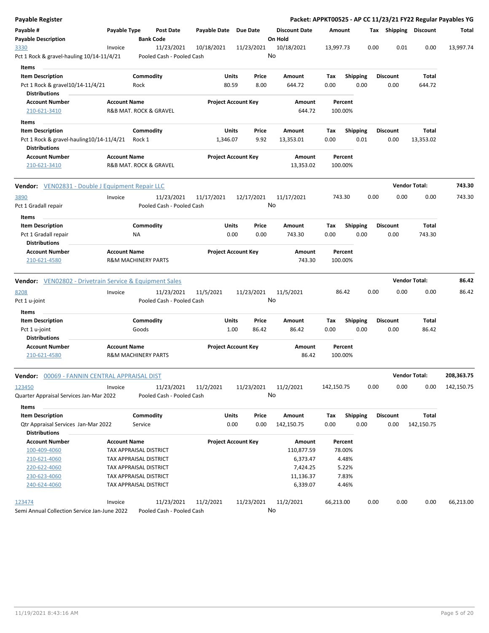| <b>Payable Register</b>                                                |                     |                                |                           |                       |                            |                |                                 |             |                 |      |      |                         |                              | Packet: APPKT00525 - AP CC 11/23/21 FY22 Regular Payables YG |
|------------------------------------------------------------------------|---------------------|--------------------------------|---------------------------|-----------------------|----------------------------|----------------|---------------------------------|-------------|-----------------|------|------|-------------------------|------------------------------|--------------------------------------------------------------|
| Payable #<br><b>Payable Description</b>                                | Payable Type        | <b>Bank Code</b>               | <b>Post Date</b>          | Payable Date Due Date |                            |                | <b>Discount Date</b><br>On Hold | Amount      |                 |      |      |                         | Tax Shipping Discount        | Total                                                        |
| 3330                                                                   | Invoice             |                                | 11/23/2021                | 10/18/2021            |                            | 11/23/2021     | 10/18/2021                      | 13,997.73   |                 |      | 0.00 | 0.01                    | 0.00                         | 13,997.74                                                    |
| Pct 1 Rock & gravel-hauling 10/14-11/4/21                              |                     |                                | Pooled Cash - Pooled Cash |                       |                            |                | No                              |             |                 |      |      |                         |                              |                                                              |
| Items                                                                  |                     |                                |                           |                       |                            |                |                                 |             |                 |      |      |                         |                              |                                                              |
| <b>Item Description</b>                                                |                     | Commodity                      |                           |                       | Units                      | Price          | Amount                          | Tax         | <b>Shipping</b> |      |      | <b>Discount</b>         | Total                        |                                                              |
| Pct 1 Rock & gravel10/14-11/4/21                                       |                     | Rock                           |                           |                       | 80.59                      | 8.00           | 644.72                          | 0.00        |                 | 0.00 |      | 0.00                    | 644.72                       |                                                              |
| <b>Distributions</b>                                                   |                     |                                |                           |                       |                            |                |                                 |             |                 |      |      |                         |                              |                                                              |
| <b>Account Number</b>                                                  | <b>Account Name</b> |                                |                           |                       | <b>Project Account Key</b> |                | Amount                          |             | Percent         |      |      |                         |                              |                                                              |
| 210-621-3410                                                           |                     | R&B MAT. ROCK & GRAVEL         |                           |                       |                            |                | 644.72                          |             | 100.00%         |      |      |                         |                              |                                                              |
| Items                                                                  |                     |                                |                           |                       |                            |                |                                 |             |                 |      |      |                         |                              |                                                              |
| <b>Item Description</b>                                                |                     | Commodity                      |                           |                       | Units                      | Price          | Amount                          | Tax         | <b>Shipping</b> |      |      | Discount                | Total                        |                                                              |
| Pct 1 Rock & gravel-hauling 10/14-11/4/21                              |                     | Rock 1                         |                           |                       | 1,346.07                   | 9.92           | 13,353.01                       | 0.00        |                 | 0.01 |      | 0.00                    | 13,353.02                    |                                                              |
| <b>Distributions</b>                                                   |                     |                                |                           |                       |                            |                |                                 |             |                 |      |      |                         |                              |                                                              |
| <b>Account Number</b>                                                  | <b>Account Name</b> |                                |                           |                       | <b>Project Account Key</b> |                | Amount                          |             | Percent         |      |      |                         |                              |                                                              |
| 210-621-3410                                                           |                     | R&B MAT. ROCK & GRAVEL         |                           |                       |                            |                | 13,353.02                       |             | 100.00%         |      |      |                         |                              |                                                              |
| <b>Vendor:</b> VEN02831 - Double J Equipment Repair LLC                |                     |                                |                           |                       |                            |                |                                 |             |                 |      |      |                         | <b>Vendor Total:</b>         | 743.30                                                       |
| 3890                                                                   | Invoice             |                                | 11/23/2021                | 11/17/2021            |                            | 12/17/2021     | 11/17/2021                      |             | 743.30          |      | 0.00 | 0.00                    | 0.00                         | 743.30                                                       |
| Pct 1 Gradall repair                                                   |                     |                                | Pooled Cash - Pooled Cash |                       |                            |                | No                              |             |                 |      |      |                         |                              |                                                              |
| Items                                                                  |                     |                                |                           |                       |                            |                |                                 |             |                 |      |      |                         |                              |                                                              |
| <b>Item Description</b>                                                |                     | Commodity                      |                           |                       | Units                      | Price          | Amount                          | Tax         | <b>Shipping</b> |      |      | <b>Discount</b>         | Total                        |                                                              |
| Pct 1 Gradall repair                                                   |                     | ΝA                             |                           |                       | 0.00                       | 0.00           | 743.30                          | 0.00        |                 | 0.00 |      | 0.00                    | 743.30                       |                                                              |
| <b>Distributions</b>                                                   |                     |                                |                           |                       |                            |                |                                 |             |                 |      |      |                         |                              |                                                              |
| <b>Account Number</b>                                                  | <b>Account Name</b> |                                |                           |                       | <b>Project Account Key</b> |                | Amount                          |             | Percent         |      |      |                         |                              |                                                              |
| 210-621-4580                                                           |                     | <b>R&amp;M MACHINERY PARTS</b> |                           |                       |                            |                | 743.30                          |             | 100.00%         |      |      |                         |                              |                                                              |
| <b>Vendor:</b> VEN02802 - Drivetrain Service & Equipment Sales<br>8208 | Invoice             |                                | 11/23/2021                | 11/5/2021             |                            | 11/23/2021     | 11/5/2021                       |             | 86.42           |      | 0.00 | 0.00                    | <b>Vendor Total:</b><br>0.00 | 86.42<br>86.42                                               |
| Pct 1 u-joint                                                          |                     |                                | Pooled Cash - Pooled Cash |                       |                            |                | No                              |             |                 |      |      |                         |                              |                                                              |
|                                                                        |                     |                                |                           |                       |                            |                |                                 |             |                 |      |      |                         |                              |                                                              |
| Items                                                                  |                     |                                |                           |                       |                            |                |                                 |             |                 |      |      |                         |                              |                                                              |
| <b>Item Description</b>                                                |                     | Commodity<br>Goods             |                           |                       | Units<br>1.00              | Price<br>86.42 | Amount<br>86.42                 | Tax<br>0.00 | <b>Shipping</b> | 0.00 |      | <b>Discount</b><br>0.00 | Total<br>86.42               |                                                              |
| Pct 1 u-joint<br><b>Distributions</b>                                  |                     |                                |                           |                       |                            |                |                                 |             |                 |      |      |                         |                              |                                                              |
| <b>Account Number</b>                                                  | <b>Account Name</b> |                                |                           |                       | <b>Project Account Key</b> |                | Amount                          |             | Percent         |      |      |                         |                              |                                                              |
| 210-621-4580                                                           |                     | <b>R&amp;M MACHINERY PARTS</b> |                           |                       |                            |                | 86.42                           |             | 100.00%         |      |      |                         |                              |                                                              |
| 00069 - FANNIN CENTRAL APPRAISAL DIST<br>Vendor:                       |                     |                                |                           |                       |                            |                |                                 |             |                 |      |      |                         | <b>Vendor Total:</b>         | 208,363.75                                                   |
| 123450                                                                 | Invoice             |                                | 11/23/2021                | 11/2/2021             |                            | 11/23/2021     | 11/2/2021                       | 142,150.75  |                 |      | 0.00 | 0.00                    | 0.00                         | 142,150.75                                                   |
| Quarter Appraisal Services Jan-Mar 2022                                |                     |                                | Pooled Cash - Pooled Cash |                       |                            |                | No                              |             |                 |      |      |                         |                              |                                                              |
| Items                                                                  |                     |                                |                           |                       |                            |                |                                 |             |                 |      |      |                         |                              |                                                              |
| <b>Item Description</b>                                                |                     | Commodity                      |                           |                       | Units                      | Price          | Amount                          | Tax         | <b>Shipping</b> |      |      | <b>Discount</b>         | Total                        |                                                              |
| <b>Qtr Appraisal Services Jan-Mar 2022</b>                             |                     | Service                        |                           |                       | 0.00                       | 0.00           | 142,150.75                      | 0.00        |                 | 0.00 |      | 0.00                    | 142,150.75                   |                                                              |
| <b>Distributions</b>                                                   |                     |                                |                           |                       |                            |                |                                 |             |                 |      |      |                         |                              |                                                              |
| <b>Account Number</b>                                                  | <b>Account Name</b> |                                |                           |                       | <b>Project Account Key</b> |                | Amount                          |             | Percent         |      |      |                         |                              |                                                              |
| 100-409-4060                                                           |                     | TAX APPRAISAL DISTRICT         |                           |                       |                            |                | 110,877.59                      |             | 78.00%          |      |      |                         |                              |                                                              |
| 210-621-4060                                                           |                     | TAX APPRAISAL DISTRICT         |                           |                       |                            |                | 6,373.47                        |             | 4.48%           |      |      |                         |                              |                                                              |
| 220-622-4060                                                           |                     | TAX APPRAISAL DISTRICT         |                           |                       |                            |                | 7,424.25                        |             | 5.22%           |      |      |                         |                              |                                                              |
| 230-623-4060                                                           |                     | TAX APPRAISAL DISTRICT         |                           |                       |                            |                | 11,136.37                       |             | 7.83%           |      |      |                         |                              |                                                              |
| 240-624-4060                                                           |                     | TAX APPRAISAL DISTRICT         |                           |                       |                            |                | 6,339.07                        |             | 4.46%           |      |      |                         |                              |                                                              |
| 123474                                                                 | Invoice             |                                | 11/23/2021                | 11/2/2021             |                            | 11/23/2021     | 11/2/2021                       | 66,213.00   |                 |      | 0.00 | 0.00                    | 0.00                         | 66,213.00                                                    |
| Semi Annual Collection Service Jan-June 2022                           |                     |                                | Pooled Cash - Pooled Cash |                       |                            |                | No                              |             |                 |      |      |                         |                              |                                                              |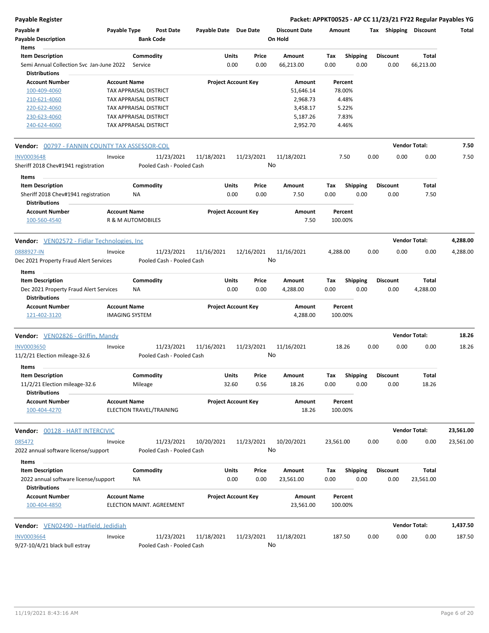| Payable #                                                                                 | Payable Type                             |                      | <b>Post Date</b>                        | Payable Date Due Date      |                |                  | <b>Discount Date</b> | Amount             |                         | Тах  | <b>Shipping</b>         | <b>Discount</b>      | Total     |
|-------------------------------------------------------------------------------------------|------------------------------------------|----------------------|-----------------------------------------|----------------------------|----------------|------------------|----------------------|--------------------|-------------------------|------|-------------------------|----------------------|-----------|
| <b>Payable Description</b>                                                                |                                          |                      | <b>Bank Code</b>                        |                            |                |                  | On Hold              |                    |                         |      |                         |                      |           |
| Items                                                                                     |                                          |                      |                                         |                            |                |                  |                      |                    |                         |      |                         |                      |           |
| <b>Item Description</b><br>Semi Annual Collection Svc Jan-June 2022                       |                                          | Commodity<br>Service |                                         |                            | Units<br>0.00  | Price<br>0.00    | Amount<br>66,213.00  | Tax<br>0.00        | <b>Shipping</b><br>0.00 |      | <b>Discount</b><br>0.00 | Total<br>66,213.00   |           |
| <b>Distributions</b><br><b>Account Number</b>                                             | <b>Account Name</b>                      |                      |                                         | <b>Project Account Key</b> |                |                  | Amount               | Percent            |                         |      |                         |                      |           |
| 100-409-4060                                                                              | TAX APPRAISAL DISTRICT                   |                      |                                         |                            |                |                  | 51,646.14            |                    | 78.00%                  |      |                         |                      |           |
| 210-621-4060                                                                              | TAX APPRAISAL DISTRICT                   |                      |                                         |                            |                |                  | 2,968.73             |                    | 4.48%                   |      |                         |                      |           |
| 220-622-4060                                                                              | TAX APPRAISAL DISTRICT                   |                      |                                         |                            |                |                  | 3,458.17             |                    | 5.22%                   |      |                         |                      |           |
| 230-623-4060                                                                              | TAX APPRAISAL DISTRICT                   |                      |                                         |                            |                |                  | 5,187.26             |                    | 7.83%                   |      |                         |                      |           |
| 240-624-4060                                                                              | <b>TAX APPRAISAL DISTRICT</b>            |                      |                                         |                            |                |                  | 2,952.70             |                    | 4.46%                   |      |                         |                      |           |
| <b>Vendor:</b> 00797 - FANNIN COUNTY TAX ASSESSOR-COL                                     |                                          |                      |                                         |                            |                |                  |                      |                    |                         |      |                         | <b>Vendor Total:</b> | 7.50      |
| <b>INV0003648</b>                                                                         | Invoice                                  |                      | 11/23/2021                              | 11/18/2021                 |                | 11/23/2021       | 11/18/2021           |                    | 7.50                    | 0.00 | 0.00                    | 0.00                 | 7.50      |
| Sheriff 2018 Chev#1941 registration<br>Items                                              |                                          |                      | Pooled Cash - Pooled Cash               |                            |                | No               |                      |                    |                         |      |                         |                      |           |
| <b>Item Description</b>                                                                   |                                          | Commodity            |                                         |                            | Units          | Price            | Amount               | Tax                | <b>Shipping</b>         |      | <b>Discount</b>         | Total                |           |
| Sheriff 2018 Chev#1941 registration<br><b>Distributions</b>                               |                                          | NA                   |                                         |                            | 0.00           | 0.00             | 7.50                 | 0.00               | 0.00                    |      | 0.00                    | 7.50                 |           |
| <b>Account Number</b><br>100-560-4540                                                     | <b>Account Name</b><br>R & M AUTOMOBILES |                      |                                         | <b>Project Account Key</b> |                |                  | Amount<br>7.50       | Percent<br>100.00% |                         |      |                         |                      |           |
| Vendor: VEN02572 - Fidlar Technologies, Inc                                               |                                          |                      |                                         |                            |                |                  |                      |                    |                         |      |                         | <b>Vendor Total:</b> | 4,288.00  |
| 0888927-IN                                                                                | Invoice                                  |                      | 11/23/2021                              | 11/16/2021                 |                | 12/16/2021       | 11/16/2021           | 4,288.00           |                         | 0.00 | 0.00                    | 0.00                 | 4,288.00  |
| Dec 2021 Property Fraud Alert Services                                                    |                                          |                      | Pooled Cash - Pooled Cash               |                            |                | No               |                      |                    |                         |      |                         |                      |           |
| Items                                                                                     |                                          |                      |                                         |                            |                |                  |                      |                    |                         |      |                         |                      |           |
| <b>Item Description</b><br>Dec 2021 Property Fraud Alert Services<br><b>Distributions</b> |                                          | Commodity<br>ΝA      |                                         |                            | Units<br>0.00  | Price<br>0.00    | Amount<br>4,288.00   | Tax<br>0.00        | <b>Shipping</b><br>0.00 |      | <b>Discount</b><br>0.00 | Total<br>4,288.00    |           |
| <b>Account Number</b>                                                                     | <b>Account Name</b>                      |                      |                                         | <b>Project Account Key</b> |                |                  | Amount               | Percent            |                         |      |                         |                      |           |
| 121-402-3120                                                                              | <b>IMAGING SYSTEM</b>                    |                      |                                         |                            |                |                  | 4,288.00             | 100.00%            |                         |      |                         |                      |           |
| Vendor: VEN02826 - Griffin, Mandy                                                         |                                          |                      |                                         |                            |                |                  |                      |                    |                         |      |                         | <b>Vendor Total:</b> | 18.26     |
| <b>INV0003650</b><br>11/2/21 Election mileage-32.6                                        | Invoice                                  |                      | 11/23/2021<br>Pooled Cash - Pooled Cash | 11/16/2021                 |                | 11/23/2021<br>No | 11/16/2021           | 18.26              |                         | 0.00 | 0.00                    | 0.00                 | 18.26     |
| Items                                                                                     |                                          |                      |                                         |                            |                |                  |                      |                    |                         |      |                         |                      |           |
| <b>Item Description</b><br>11/2/21 Election mileage-32.6<br><b>Distributions</b>          |                                          | Commodity<br>Mileage |                                         |                            | Units<br>32.60 | Price<br>0.56    | Amount<br>18.26      | Tax<br>$0.00\,$    | <b>Shipping</b><br>0.00 |      | <b>Discount</b><br>0.00 | Total<br>18.26       |           |
| <b>Account Number</b><br>100-404-4270                                                     | <b>Account Name</b>                      |                      | ELECTION TRAVEL/TRAINING                | <b>Project Account Key</b> |                |                  | Amount<br>18.26      | Percent<br>100.00% |                         |      |                         |                      |           |
| Vendor: 00128 - HART INTERCIVIC                                                           |                                          |                      |                                         |                            |                |                  |                      |                    |                         |      |                         | <b>Vendor Total:</b> | 23,561.00 |
| 085472<br>2022 annual software license/support                                            | Invoice                                  |                      | 11/23/2021<br>Pooled Cash - Pooled Cash | 10/20/2021                 |                | 11/23/2021<br>No | 10/20/2021           | 23,561.00          |                         | 0.00 | 0.00                    | 0.00                 | 23,561.00 |
| Items                                                                                     |                                          |                      |                                         |                            |                |                  |                      |                    |                         |      |                         |                      |           |
| <b>Item Description</b><br>2022 annual software license/support<br><b>Distributions</b>   |                                          | Commodity<br>ΝA      |                                         |                            | Units<br>0.00  | Price<br>0.00    | Amount<br>23,561.00  | Тах<br>0.00        | Shipping<br>0.00        |      | <b>Discount</b><br>0.00 | Total<br>23,561.00   |           |
| <b>Account Number</b><br>100-404-4850                                                     | <b>Account Name</b>                      |                      | ELECTION MAINT. AGREEMENT               | <b>Project Account Key</b> |                |                  | Amount<br>23,561.00  | Percent<br>100.00% |                         |      |                         |                      |           |
| Vendor: VEN02490 - Hatfield, Jedidiah                                                     |                                          |                      |                                         |                            |                |                  |                      |                    |                         |      |                         | <b>Vendor Total:</b> | 1,437.50  |
| <b>INV0003664</b>                                                                         | Invoice                                  |                      | 11/23/2021                              | 11/18/2021                 |                | 11/23/2021       | 11/18/2021           | 187.50             |                         | 0.00 | 0.00                    | 0.00                 | 187.50    |
| 9/27-10/4/21 black bull estray                                                            |                                          |                      | Pooled Cash - Pooled Cash               |                            |                | No               |                      |                    |                         |      |                         |                      |           |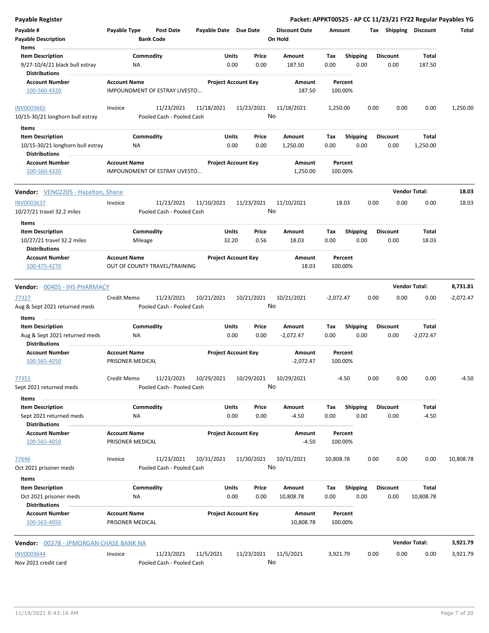| <b>Payable Register</b>                                                   |                                                      |                                         |                            |            |               |                                 |             |                         |      |                         |                      | Packet: APPKT00525 - AP CC 11/23/21 FY22 Regular Payables YG |
|---------------------------------------------------------------------------|------------------------------------------------------|-----------------------------------------|----------------------------|------------|---------------|---------------------------------|-------------|-------------------------|------|-------------------------|----------------------|--------------------------------------------------------------|
| Payable #<br><b>Payable Description</b>                                   | Payable Type<br><b>Bank Code</b>                     | <b>Post Date</b>                        | Payable Date Due Date      |            |               | <b>Discount Date</b><br>On Hold | Amount      |                         |      | Tax Shipping Discount   |                      | Total                                                        |
| Items                                                                     |                                                      |                                         |                            |            |               |                                 |             |                         |      |                         |                      |                                                              |
| <b>Item Description</b>                                                   | Commodity                                            |                                         | Units                      |            | Price         | Amount                          | Tax         | Shipping                |      | <b>Discount</b>         | Total                |                                                              |
| 9/27-10/4/21 black bull estray<br><b>Distributions</b>                    | ΝA                                                   |                                         |                            | 0.00       | 0.00          | 187.50                          | 0.00        | 0.00                    |      | 0.00                    | 187.50               |                                                              |
| <b>Account Number</b><br>100-560-4320                                     | <b>Account Name</b><br>IMPOUNDMENT OF ESTRAY LIVESTO |                                         | <b>Project Account Key</b> |            |               | Amount<br>187.50                | 100.00%     | Percent                 |      |                         |                      |                                                              |
| <b>INV0003665</b>                                                         | Invoice                                              | 11/23/2021                              | 11/18/2021                 | 11/23/2021 |               | 11/18/2021                      | 1,250.00    |                         | 0.00 | 0.00                    | 0.00                 | 1,250.00                                                     |
| 10/15-30/21 longhorn bull estray<br>Items                                 |                                                      | Pooled Cash - Pooled Cash               |                            |            | No            |                                 |             |                         |      |                         |                      |                                                              |
| <b>Item Description</b>                                                   | Commodity                                            |                                         | Units                      |            | Price         | Amount                          | Tax         | <b>Shipping</b>         |      | <b>Discount</b>         | Total                |                                                              |
| 10/15-30/21 longhorn bull estray<br><b>Distributions</b>                  | <b>NA</b>                                            |                                         |                            | 0.00       | 0.00          | 1,250.00                        | 0.00        | 0.00                    |      | 0.00                    | 1,250.00             |                                                              |
| <b>Account Number</b><br>100-560-4320                                     | <b>Account Name</b><br>IMPOUNDMENT OF ESTRAY LIVESTO |                                         | <b>Project Account Key</b> |            |               | Amount<br>1,250.00              | 100.00%     | Percent                 |      |                         |                      |                                                              |
| Vendor: VEN02205 - Hazelton, Shane                                        |                                                      |                                         |                            |            |               |                                 |             |                         |      |                         | <b>Vendor Total:</b> | 18.03                                                        |
| <b>INV0003637</b>                                                         | Invoice                                              | 11/23/2021                              | 11/10/2021                 | 11/23/2021 |               | 11/10/2021                      |             | 18.03                   | 0.00 | 0.00                    | 0.00                 | 18.03                                                        |
| 10/27/21 travel 32.2 miles<br>Items                                       |                                                      | Pooled Cash - Pooled Cash               |                            |            | No            |                                 |             |                         |      |                         |                      |                                                              |
| <b>Item Description</b>                                                   | Commodity                                            |                                         | Units                      |            | Price         | Amount                          | Tax         | <b>Shipping</b>         |      | <b>Discount</b>         | Total                |                                                              |
| 10/27/21 travel 32.2 miles<br><b>Distributions</b>                        | Mileage                                              |                                         | 32.20                      |            | 0.56          | 18.03                           | 0.00        | 0.00                    |      | 0.00                    | 18.03                |                                                              |
| <b>Account Number</b><br>100-475-4270                                     | <b>Account Name</b><br>OUT OF COUNTY TRAVEL/TRAINING |                                         | <b>Project Account Key</b> |            |               | Amount<br>18.03                 | 100.00%     | Percent                 |      |                         |                      |                                                              |
|                                                                           |                                                      |                                         |                            |            |               |                                 |             |                         |      |                         | <b>Vendor Total:</b> | 8,731.81                                                     |
| Vendor: 00405 - IHS PHARMACY                                              |                                                      |                                         |                            |            |               |                                 |             |                         |      |                         |                      |                                                              |
| 77327<br>Aug & Sept 2021 returned meds                                    | Credit Memo                                          | 11/23/2021<br>Pooled Cash - Pooled Cash | 10/21/2021                 | 10/21/2021 | No            | 10/21/2021                      | $-2,072.47$ |                         | 0.00 | 0.00                    | 0.00                 | $-2,072.47$                                                  |
| Items                                                                     |                                                      |                                         |                            |            |               |                                 |             |                         |      |                         |                      |                                                              |
| <b>Item Description</b><br>Aug & Sept 2021 returned meds                  | Commodity<br><b>NA</b>                               |                                         | Units                      | 0.00       | Price<br>0.00 | Amount<br>$-2,072.47$           | Tax<br>0.00 | <b>Shipping</b><br>0.00 |      | <b>Discount</b><br>0.00 | Total<br>$-2,072.47$ |                                                              |
| <b>Distributions</b><br><b>Account Number</b>                             | <b>Account Name</b>                                  |                                         | <b>Project Account Key</b> |            |               | Amount                          |             | Percent                 |      |                         |                      |                                                              |
| 100-565-4050                                                              | PRISONER MEDICAL                                     |                                         |                            |            |               | $-2,072.47$                     | 100.00%     |                         |      |                         |                      |                                                              |
| 77351                                                                     | Credit Memo                                          | 11/23/2021                              | 10/29/2021                 | 10/29/2021 | No            | 10/29/2021                      |             | $-4.50$                 | 0.00 | 0.00                    | 0.00                 | -4.50                                                        |
| Sept 2021 returned meds                                                   |                                                      | Pooled Cash - Pooled Cash               |                            |            |               |                                 |             |                         |      |                         |                      |                                                              |
| Items                                                                     |                                                      |                                         |                            |            |               |                                 |             |                         |      |                         |                      |                                                              |
| <b>Item Description</b><br>Sept 2021 returned meds                        | Commodity<br><b>NA</b>                               |                                         | Units                      | 0.00       | Price<br>0.00 | Amount<br>$-4.50$               | Tax<br>0.00 | Shipping<br>0.00        |      | <b>Discount</b><br>0.00 | Total<br>$-4.50$     |                                                              |
| <b>Distributions</b><br><b>Account Number</b><br>100-565-4050             | <b>Account Name</b><br>PRISONER MEDICAL              |                                         | <b>Project Account Key</b> |            |               | Amount<br>$-4.50$               | 100.00%     | Percent                 |      |                         |                      |                                                              |
| 77646                                                                     | Invoice                                              | 11/23/2021                              | 10/31/2021                 | 11/30/2021 |               | 10/31/2021                      | 10,808.78   |                         | 0.00 | 0.00                    | 0.00                 | 10,808.78                                                    |
| Oct 2021 prisoner meds                                                    |                                                      | Pooled Cash - Pooled Cash               |                            |            | No            |                                 |             |                         |      |                         |                      |                                                              |
| Items                                                                     |                                                      |                                         |                            |            |               |                                 |             |                         |      |                         |                      |                                                              |
| <b>Item Description</b><br>Oct 2021 prisoner meds<br><b>Distributions</b> | Commodity<br>ΝA                                      |                                         | Units                      | 0.00       | Price<br>0.00 | Amount<br>10,808.78             | Тах<br>0.00 | <b>Shipping</b><br>0.00 |      | <b>Discount</b><br>0.00 | Total<br>10,808.78   |                                                              |
| <b>Account Number</b><br>100-565-4050                                     | <b>Account Name</b><br>PRISONER MEDICAL              |                                         | <b>Project Account Key</b> |            |               | Amount<br>10,808.78             | 100.00%     | Percent                 |      |                         |                      |                                                              |
| Vendor: 00378 - JPMORGAN CHASE BANK NA                                    |                                                      |                                         |                            |            |               |                                 |             |                         |      |                         | <b>Vendor Total:</b> | 3,921.79                                                     |
| <b>INV0003644</b>                                                         | Invoice                                              | 11/23/2021                              | 11/5/2021                  | 11/23/2021 |               | 11/5/2021                       | 3,921.79    |                         | 0.00 | 0.00                    | 0.00                 | 3,921.79                                                     |
| Nov 2021 credit card                                                      |                                                      | Pooled Cash - Pooled Cash               |                            |            | No            |                                 |             |                         |      |                         |                      |                                                              |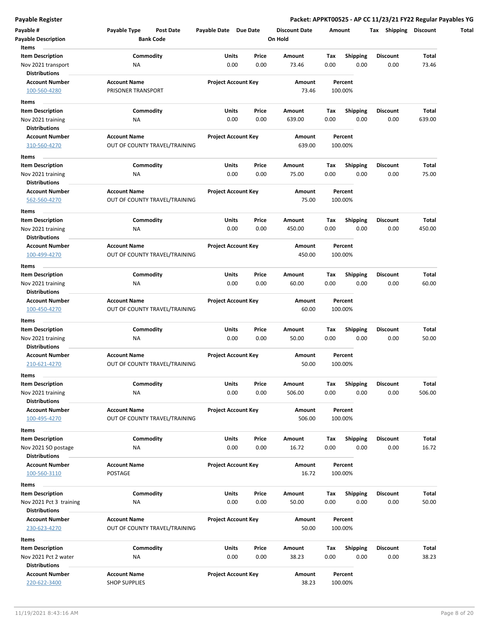| Payable #<br><b>Payable Description</b>                                        | Payable Type<br>Post Date<br><b>Bank Code</b>        | Payable Date Due Date          | <b>Discount Date</b><br>On Hold | Amount                                 | Tax Shipping Discount   |                 |
|--------------------------------------------------------------------------------|------------------------------------------------------|--------------------------------|---------------------------------|----------------------------------------|-------------------------|-----------------|
| Items<br><b>Item Description</b><br>Nov 2021 transport<br><b>Distributions</b> | Commodity<br>ΝA                                      | Units<br>Price<br>0.00<br>0.00 | Amount<br>73.46                 | Shipping<br>Tax<br>0.00<br>0.00        | <b>Discount</b><br>0.00 | Total<br>73.46  |
| <b>Account Number</b><br>100-560-4280                                          | <b>Account Name</b><br>PRISONER TRANSPORT            | <b>Project Account Key</b>     | Amount<br>73.46                 | Percent<br>100.00%                     |                         |                 |
| Items<br>Item Description<br>Nov 2021 training                                 | Commodity<br>NA                                      | Units<br>Price<br>0.00<br>0.00 | Amount<br>639.00                | Tax<br><b>Shipping</b><br>0.00<br>0.00 | Discount<br>0.00        | Total<br>639.00 |
| <b>Distributions</b><br><b>Account Number</b>                                  | <b>Account Name</b>                                  | <b>Project Account Key</b>     | Amount                          | Percent                                |                         |                 |
| 310-560-4270<br>Items                                                          | OUT OF COUNTY TRAVEL/TRAINING                        |                                | 639.00                          | 100.00%                                |                         |                 |
| <b>Item Description</b><br>Nov 2021 training<br><b>Distributions</b>           | Commodity<br>ΝA                                      | Units<br>Price<br>0.00<br>0.00 | Amount<br>75.00                 | Tax<br><b>Shipping</b><br>0.00<br>0.00 | <b>Discount</b><br>0.00 | Total<br>75.00  |
| <b>Account Number</b><br>562-560-4270                                          | <b>Account Name</b><br>OUT OF COUNTY TRAVEL/TRAINING | <b>Project Account Key</b>     | Amount<br>75.00                 | Percent<br>100.00%                     |                         |                 |
| Items<br><b>Item Description</b><br>Nov 2021 training<br><b>Distributions</b>  | Commodity<br>NA                                      | Units<br>Price<br>0.00<br>0.00 | Amount<br>450.00                | Tax<br><b>Shipping</b><br>0.00<br>0.00 | <b>Discount</b><br>0.00 | Total<br>450.00 |
| <b>Account Number</b><br>100-499-4270                                          | <b>Account Name</b><br>OUT OF COUNTY TRAVEL/TRAINING | <b>Project Account Key</b>     | Amount<br>450.00                | Percent<br>100.00%                     |                         |                 |
| Items<br><b>Item Description</b><br>Nov 2021 training<br><b>Distributions</b>  | Commodity<br>ΝA                                      | Units<br>Price<br>0.00<br>0.00 | Amount<br>60.00                 | Tax<br><b>Shipping</b><br>0.00<br>0.00 | <b>Discount</b><br>0.00 | Total<br>60.00  |
| <b>Account Number</b><br>100-450-4270                                          | <b>Account Name</b><br>OUT OF COUNTY TRAVEL/TRAINING | <b>Project Account Key</b>     | Amount<br>60.00                 | Percent<br>100.00%                     |                         |                 |
| Items<br><b>Item Description</b><br>Nov 2021 training<br><b>Distributions</b>  | Commodity<br>ΝA                                      | Units<br>Price<br>0.00<br>0.00 | Amount<br>50.00                 | <b>Shipping</b><br>Tax<br>0.00<br>0.00 | <b>Discount</b><br>0.00 | Total<br>50.00  |
| <b>Account Number</b><br>210-621-4270<br>Items                                 | <b>Account Name</b><br>OUT OF COUNTY TRAVEL/TRAINING | <b>Project Account Key</b>     | Amount<br>50.00                 | Percent<br>100.00%                     |                         |                 |
| Item Description<br>Nov 2021 training<br><b>Distributions</b>                  | Commodity<br><b>NA</b>                               | Units<br>Price<br>0.00<br>0.00 | Amount<br>506.00                | Tax<br><b>Shipping</b><br>0.00<br>0.00 | Discount<br>0.00        | Total<br>506.00 |
| <b>Account Number</b><br>100-495-4270                                          | <b>Account Name</b><br>OUT OF COUNTY TRAVEL/TRAINING | <b>Project Account Key</b>     | Amount<br>506.00                | Percent<br>100.00%                     |                         |                 |
| Items<br><b>Item Description</b><br>Nov 2021 SO postage                        | Commodity<br>ΝA                                      | Units<br>Price<br>0.00<br>0.00 | Amount<br>16.72                 | Tax<br><b>Shipping</b><br>0.00<br>0.00 | <b>Discount</b><br>0.00 | Total<br>16.72  |
| <b>Distributions</b><br><b>Account Number</b><br>100-560-3110                  | <b>Account Name</b><br><b>POSTAGE</b>                | <b>Project Account Key</b>     | Amount<br>16.72                 | Percent<br>100.00%                     |                         |                 |
| Items<br><b>Item Description</b><br>Nov 2021 Pct 3 training                    | Commodity<br>NA                                      | Units<br>Price<br>0.00<br>0.00 | Amount<br>50.00                 | Tax<br><b>Shipping</b><br>0.00<br>0.00 | <b>Discount</b><br>0.00 | Total<br>50.00  |
| <b>Distributions</b><br><b>Account Number</b><br>230-623-4270                  | <b>Account Name</b><br>OUT OF COUNTY TRAVEL/TRAINING | <b>Project Account Key</b>     | Amount<br>50.00                 | Percent<br>100.00%                     |                         |                 |
| Items<br><b>Item Description</b><br>Nov 2021 Pct 2 water                       | Commodity<br>ΝA                                      | Units<br>Price<br>0.00<br>0.00 | Amount<br>38.23                 | Tax<br><b>Shipping</b><br>0.00<br>0.00 | <b>Discount</b><br>0.00 | Total<br>38.23  |
| <b>Distributions</b><br><b>Account Number</b><br>220-622-3400                  | <b>Account Name</b><br><b>SHOP SUPPLIES</b>          | <b>Project Account Key</b>     | Amount<br>38.23                 | Percent<br>100.00%                     |                         |                 |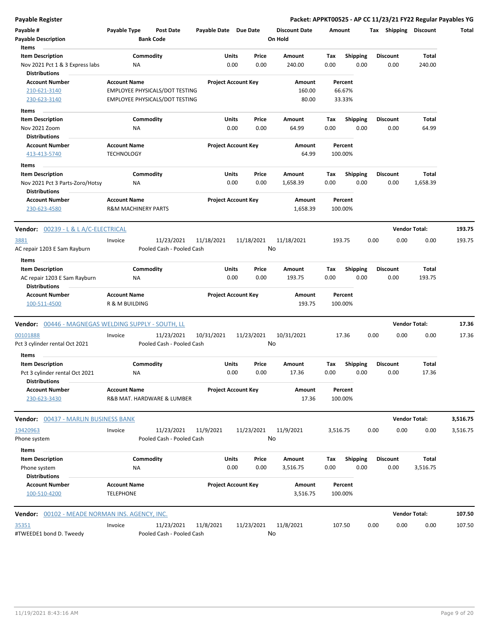| Payable #<br><b>Payable Description</b><br>Items                                   | Payable Type                             | <b>Post Date</b><br><b>Bank Code</b>                                    | Payable Date Due Date |                            | <b>Discount Date</b><br>On Hold | Amount                      |                         | Tax             | Shipping | <b>Discount</b>      | Total    |
|------------------------------------------------------------------------------------|------------------------------------------|-------------------------------------------------------------------------|-----------------------|----------------------------|---------------------------------|-----------------------------|-------------------------|-----------------|----------|----------------------|----------|
| <b>Item Description</b><br>Nov 2021 Pct 1 & 3 Express labs<br><b>Distributions</b> | ΝA                                       | Commodity                                                               | Units                 | Price<br>0.00<br>0.00      | Amount<br>240.00                | Tax<br>0.00                 | Shipping<br>0.00        | <b>Discount</b> | 0.00     | Total<br>240.00      |          |
| <b>Account Number</b><br>210-621-3140<br>230-623-3140                              | <b>Account Name</b>                      | EMPLOYEE PHYSICALS/DOT TESTING<br><b>EMPLOYEE PHYSICALS/DOT TESTING</b> |                       | <b>Project Account Key</b> | Amount<br>160.00<br>80.00       | Percent<br>66.67%<br>33.33% |                         |                 |          |                      |          |
| Items                                                                              |                                          |                                                                         |                       |                            |                                 |                             |                         |                 |          |                      |          |
| <b>Item Description</b>                                                            |                                          | Commodity                                                               | Units                 | Price                      | Amount                          | Tax                         | Shipping                | <b>Discount</b> |          | Total                |          |
| Nov 2021 Zoom<br><b>Distributions</b>                                              | ΝA                                       |                                                                         |                       | 0.00<br>0.00               | 64.99                           | 0.00                        | 0.00                    |                 | 0.00     | 64.99                |          |
| <b>Account Number</b><br>413-413-5740                                              | <b>Account Name</b><br><b>TECHNOLOGY</b> |                                                                         |                       | <b>Project Account Key</b> | Amount<br>64.99                 | Percent<br>100.00%          |                         |                 |          |                      |          |
| Items                                                                              |                                          |                                                                         |                       |                            |                                 |                             |                         |                 |          |                      |          |
| <b>Item Description</b><br>Nov 2021 Pct 3 Parts-Zoro/Hotsy                         | NA                                       | Commodity                                                               | Units                 | Price<br>0.00<br>0.00      | Amount<br>1,658.39              | Tax<br>0.00                 | Shipping<br>0.00        | <b>Discount</b> | 0.00     | Total<br>1,658.39    |          |
| <b>Distributions</b><br><b>Account Number</b>                                      | <b>Account Name</b>                      |                                                                         |                       | <b>Project Account Key</b> | Amount                          | Percent                     |                         |                 |          |                      |          |
| 230-623-4580                                                                       | <b>R&amp;M MACHINERY PARTS</b>           |                                                                         |                       |                            | 1,658.39                        | 100.00%                     |                         |                 |          |                      |          |
| <b>Vendor: 00239 - L &amp; L A/C-ELECTRICAL</b>                                    |                                          |                                                                         |                       |                            |                                 |                             |                         |                 |          | <b>Vendor Total:</b> | 193.75   |
| 3881                                                                               | Invoice                                  | 11/23/2021                                                              | 11/18/2021            | 11/18/2021                 | 11/18/2021                      | 193.75                      |                         | 0.00            | 0.00     | 0.00                 | 193.75   |
| AC repair 1203 E Sam Rayburn                                                       |                                          | Pooled Cash - Pooled Cash                                               |                       |                            | No                              |                             |                         |                 |          |                      |          |
| Items                                                                              |                                          |                                                                         |                       |                            |                                 |                             |                         |                 |          |                      |          |
| <b>Item Description</b><br>AC repair 1203 E Sam Rayburn<br><b>Distributions</b>    | NA                                       | Commodity                                                               | Units                 | Price<br>0.00<br>0.00      | Amount<br>193.75                | Tax<br>0.00                 | <b>Shipping</b><br>0.00 | <b>Discount</b> | 0.00     | Total<br>193.75      |          |
| <b>Account Number</b><br>100-511-4500                                              | <b>Account Name</b><br>R & M BUILDING    |                                                                         |                       | <b>Project Account Key</b> | Amount<br>193.75                | Percent<br>100.00%          |                         |                 |          |                      |          |
| Vendor: 00446 - MAGNEGAS WELDING SUPPLY - SOUTH, LL                                |                                          |                                                                         |                       |                            |                                 |                             |                         |                 |          | <b>Vendor Total:</b> | 17.36    |
| 00101888<br>Pct 3 cylinder rental Oct 2021                                         | Invoice                                  | 11/23/2021<br>Pooled Cash - Pooled Cash                                 | 10/31/2021            | 11/23/2021                 | 10/31/2021<br>No                | 17.36                       |                         | 0.00            | 0.00     | 0.00                 | 17.36    |
| Items<br><b>Item Description</b>                                                   |                                          | Commodity                                                               | Units                 | Price                      | Amount                          | Tax                         | <b>Shipping</b>         | <b>Discount</b> |          | Total                |          |
| Pct 3 cylinder rental Oct 2021<br>Distributions                                    | ΝA                                       |                                                                         |                       | 0.00<br>0.00               | 17.36                           | 0.00                        | 0.00                    |                 | 0.00     | 17.36                |          |
| <b>Account Number</b><br>230-623-3430                                              | <b>Account Name</b>                      | R&B MAT. HARDWARE & LUMBER                                              |                       | <b>Project Account Key</b> | Amount<br>17.36                 | Percent<br>100.00%          |                         |                 |          |                      |          |
| Vendor: 00437 - MARLIN BUSINESS BANK                                               |                                          |                                                                         |                       |                            |                                 |                             |                         |                 |          | <b>Vendor Total:</b> | 3,516.75 |
| 19420963<br>Phone system                                                           | Invoice                                  | 11/23/2021<br>Pooled Cash - Pooled Cash                                 | 11/9/2021             | 11/23/2021                 | 11/9/2021<br>No                 | 3,516.75                    |                         | 0.00            | 0.00     | 0.00                 | 3,516.75 |
| Items                                                                              |                                          |                                                                         |                       |                            |                                 |                             |                         |                 |          |                      |          |
| <b>Item Description</b><br>Phone system<br><b>Distributions</b>                    | ΝA                                       | Commodity                                                               | Units                 | Price<br>0.00<br>0.00      | Amount<br>3,516.75              | Tax<br>0.00                 | <b>Shipping</b><br>0.00 | <b>Discount</b> | 0.00     | Total<br>3,516.75    |          |
| <b>Account Number</b><br>100-510-4200                                              | <b>Account Name</b><br><b>TELEPHONE</b>  |                                                                         |                       | <b>Project Account Key</b> | Amount<br>3,516.75              | Percent<br>100.00%          |                         |                 |          |                      |          |
| Vendor: 00102 - MEADE NORMAN INS. AGENCY, INC.                                     |                                          |                                                                         |                       |                            |                                 |                             |                         |                 |          | <b>Vendor Total:</b> | 107.50   |
| 35351<br>#TWEEDE1 bond D. Tweedy                                                   | Invoice                                  | 11/23/2021<br>Pooled Cash - Pooled Cash                                 | 11/8/2021             | 11/23/2021                 | 11/8/2021<br>No                 | 107.50                      |                         | 0.00            | 0.00     | 0.00                 | 107.50   |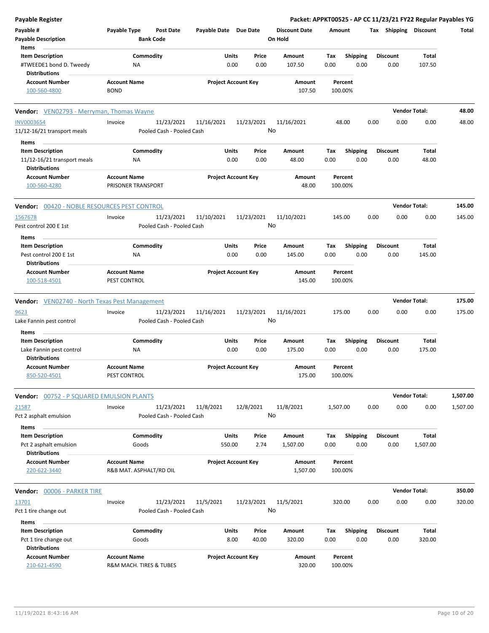| <b>Payable Register</b>                             |                                                      |                            |            |                                 |                    |                 | Packet: APPKT00525 - AP CC 11/23/21 FY22 Regular Payables YG |                      |          |
|-----------------------------------------------------|------------------------------------------------------|----------------------------|------------|---------------------------------|--------------------|-----------------|--------------------------------------------------------------|----------------------|----------|
| Payable #<br><b>Payable Description</b>             | Payable Type<br><b>Post Date</b><br><b>Bank Code</b> | Payable Date Due Date      |            | <b>Discount Date</b><br>On Hold | Amount             |                 | Tax Shipping Discount                                        |                      | Total    |
| Items                                               |                                                      |                            |            |                                 |                    |                 |                                                              |                      |          |
| <b>Item Description</b>                             | Commodity                                            | Units                      | Price      | Amount                          | Tax                | Shipping        | <b>Discount</b>                                              | Total                |          |
| #TWEEDE1 bond D. Tweedy<br><b>Distributions</b>     | NA                                                   | 0.00                       | 0.00       | 107.50                          | 0.00               | 0.00            | 0.00                                                         | 107.50               |          |
| <b>Account Number</b>                               | <b>Account Name</b>                                  | <b>Project Account Key</b> |            | Amount                          | Percent            |                 |                                                              |                      |          |
| 100-560-4800                                        | <b>BOND</b>                                          |                            |            | 107.50                          | 100.00%            |                 |                                                              |                      |          |
| <b>Vendor:</b> VEN02793 - Merryman, Thomas Wayne    |                                                      |                            |            |                                 |                    |                 |                                                              | <b>Vendor Total:</b> | 48.00    |
| <b>INV0003654</b>                                   | Invoice<br>11/23/2021                                | 11/16/2021                 | 11/23/2021 | 11/16/2021                      | 48.00              |                 | 0.00<br>0.00                                                 | 0.00                 | 48.00    |
| 11/12-16/21 transport meals                         | Pooled Cash - Pooled Cash                            |                            |            | No                              |                    |                 |                                                              |                      |          |
| Items                                               |                                                      |                            |            |                                 |                    |                 |                                                              |                      |          |
| <b>Item Description</b>                             | Commodity                                            | Units                      | Price      | Amount                          | Тах                | <b>Shipping</b> | <b>Discount</b>                                              | Total                |          |
| 11/12-16/21 transport meals                         | ΝA                                                   | 0.00                       | 0.00       | 48.00                           | 0.00               | 0.00            | 0.00                                                         | 48.00                |          |
| <b>Distributions</b>                                |                                                      |                            |            |                                 |                    |                 |                                                              |                      |          |
| <b>Account Number</b>                               | <b>Account Name</b>                                  | <b>Project Account Key</b> |            | Amount                          | Percent            |                 |                                                              |                      |          |
| 100-560-4280                                        | PRISONER TRANSPORT                                   |                            |            | 48.00                           | 100.00%            |                 |                                                              |                      |          |
| <b>Vendor: 00420 - NOBLE RESOURCES PEST CONTROL</b> |                                                      |                            |            |                                 |                    |                 |                                                              | <b>Vendor Total:</b> | 145.00   |
| 1567678                                             | 11/23/2021<br>Invoice                                | 11/10/2021                 | 11/23/2021 | 11/10/2021                      | 145.00             |                 | 0.00<br>0.00                                                 | 0.00                 | 145.00   |
| Pest control 200 E 1st                              | Pooled Cash - Pooled Cash                            |                            |            | No                              |                    |                 |                                                              |                      |          |
| Items                                               |                                                      |                            |            |                                 |                    |                 |                                                              |                      |          |
| <b>Item Description</b>                             | Commodity                                            | Units                      | Price      | Amount                          | Tax                | Shipping        | <b>Discount</b>                                              | Total                |          |
| Pest control 200 E 1st<br><b>Distributions</b>      | ΝA                                                   | 0.00                       | 0.00       | 145.00                          | 0.00               | 0.00            | 0.00                                                         | 145.00               |          |
| <b>Account Number</b>                               | <b>Account Name</b>                                  | <b>Project Account Key</b> |            | Amount                          | Percent            |                 |                                                              |                      |          |
| 100-518-4501                                        | PEST CONTROL                                         |                            |            | 145.00                          | 100.00%            |                 |                                                              |                      |          |
| Vendor: VEN02740 - North Texas Pest Management      |                                                      |                            |            |                                 |                    |                 |                                                              | <b>Vendor Total:</b> | 175.00   |
| 9623                                                | 11/23/2021<br>Invoice                                | 11/16/2021                 | 11/23/2021 | 11/16/2021                      | 175.00             |                 | 0.00<br>0.00                                                 | 0.00                 | 175.00   |
| Lake Fannin pest control                            | Pooled Cash - Pooled Cash                            |                            |            | No                              |                    |                 |                                                              |                      |          |
| Items                                               |                                                      |                            |            |                                 |                    |                 |                                                              |                      |          |
| <b>Item Description</b>                             | Commodity                                            | Units                      | Price      | Amount                          | Tax                | Shipping        | <b>Discount</b>                                              | Total                |          |
| Lake Fannin pest control                            | ΝA                                                   | 0.00                       | 0.00       | 175.00                          | 0.00               | 0.00            | 0.00                                                         | 175.00               |          |
| <b>Distributions</b>                                |                                                      |                            |            |                                 |                    |                 |                                                              |                      |          |
| <b>Account Number</b><br>850-520-4501               | <b>Account Name</b><br>PEST CONTROL                  | <b>Project Account Key</b> |            | Amount<br>175.00                | Percent<br>100.00% |                 |                                                              |                      |          |
| <b>Vendor: 00752 - P SQUARED EMULSION PLANTS</b>    |                                                      |                            |            |                                 |                    |                 |                                                              | <b>Vendor Total:</b> | 1,507.00 |
|                                                     |                                                      |                            |            | 11/8/2021                       | 1,507.00           |                 | 0.00<br>0.00                                                 | 0.00                 | 1,507.00 |
| 21587<br>Pct 2 asphalt emulsion                     | 11/23/2021<br>Invoice<br>Pooled Cash - Pooled Cash   | 11/8/2021                  | 12/8/2021  | No                              |                    |                 |                                                              |                      |          |
| Items                                               |                                                      |                            |            |                                 |                    |                 |                                                              |                      |          |
| <b>Item Description</b>                             | Commodity                                            | Units                      | Price      | Amount                          | Tax                | <b>Shipping</b> | <b>Discount</b>                                              | Total                |          |
| Pct 2 asphalt emulsion<br><b>Distributions</b>      | Goods                                                | 550.00                     | 2.74       | 1,507.00                        | 0.00               | 0.00            | 0.00                                                         | 1,507.00             |          |
| <b>Account Number</b>                               | <b>Account Name</b>                                  | <b>Project Account Key</b> |            | Amount                          | Percent            |                 |                                                              |                      |          |
| 220-622-3440                                        | R&B MAT. ASPHALT/RD OIL                              |                            |            | 1,507.00                        | 100.00%            |                 |                                                              |                      |          |
| Vendor: 00006 - PARKER TIRE                         |                                                      |                            |            |                                 |                    |                 |                                                              | <b>Vendor Total:</b> | 350.00   |
| 13701                                               | 11/23/2021<br>Invoice                                | 11/5/2021                  | 11/23/2021 | 11/5/2021                       | 320.00             |                 | 0.00<br>0.00                                                 | 0.00                 | 320.00   |
| Pct 1 tire change out                               | Pooled Cash - Pooled Cash                            |                            |            | No                              |                    |                 |                                                              |                      |          |
| Items                                               |                                                      |                            |            |                                 |                    |                 |                                                              |                      |          |
| <b>Item Description</b>                             | Commodity                                            | Units                      | Price      | Amount                          | Tax                | <b>Shipping</b> | <b>Discount</b>                                              | Total                |          |
| Pct 1 tire change out<br><b>Distributions</b>       | Goods                                                | 8.00                       | 40.00      | 320.00                          | 0.00               | 0.00            | 0.00                                                         | 320.00               |          |
| <b>Account Number</b>                               | <b>Account Name</b>                                  | <b>Project Account Key</b> |            | Amount                          | Percent            |                 |                                                              |                      |          |
| 210-621-4590                                        | R&M MACH. TIRES & TUBES                              |                            |            | 320.00                          | 100.00%            |                 |                                                              |                      |          |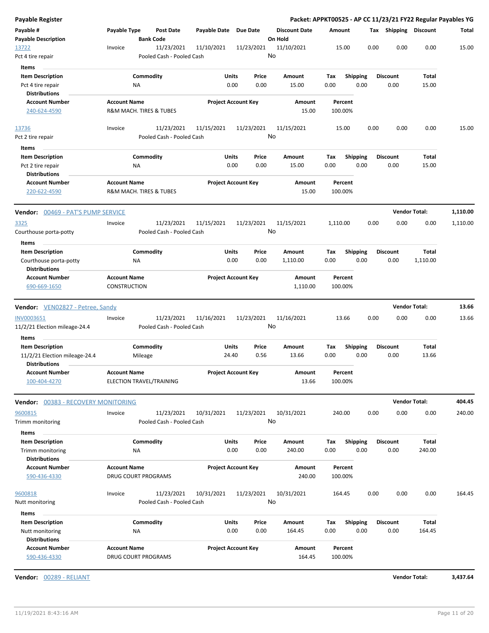| <b>Payable Register</b>             |                     |                            |              |                            |                      |          |                 |      |                       | Packet: APPKT00525 - AP CC 11/23/21 FY22 Regular Payables YG |          |
|-------------------------------------|---------------------|----------------------------|--------------|----------------------------|----------------------|----------|-----------------|------|-----------------------|--------------------------------------------------------------|----------|
| Payable #                           | Payable Type        | Post Date                  | Payable Date | <b>Due Date</b>            | <b>Discount Date</b> | Amount   |                 |      | Tax Shipping Discount |                                                              | Total    |
| <b>Payable Description</b>          |                     | <b>Bank Code</b>           |              |                            | On Hold              |          |                 |      |                       |                                                              |          |
| 13722                               | Invoice             | 11/23/2021                 | 11/10/2021   | 11/23/2021                 | 11/10/2021           | 15.00    |                 | 0.00 | 0.00                  | 0.00                                                         | 15.00    |
| Pct 4 tire repair                   |                     | Pooled Cash - Pooled Cash  |              |                            | No                   |          |                 |      |                       |                                                              |          |
| Items                               |                     |                            |              |                            |                      |          |                 |      |                       |                                                              |          |
| <b>Item Description</b>             |                     | Commodity                  | Units        | Price                      | Amount               | Tax      | <b>Shipping</b> |      | <b>Discount</b>       | Total                                                        |          |
| Pct 4 tire repair                   |                     | ΝA                         |              | 0.00<br>0.00               | 15.00                | 0.00     | 0.00            |      | 0.00                  | 15.00                                                        |          |
| <b>Distributions</b>                |                     |                            |              |                            |                      |          |                 |      |                       |                                                              |          |
| <b>Account Number</b>               | <b>Account Name</b> |                            |              | <b>Project Account Key</b> | Amount               | Percent  |                 |      |                       |                                                              |          |
| 240-624-4590                        |                     | R&M MACH. TIRES & TUBES    |              |                            | 15.00                | 100.00%  |                 |      |                       |                                                              |          |
| 13736                               | Invoice             | 11/23/2021                 | 11/15/2021   | 11/23/2021                 | 11/15/2021           | 15.00    |                 | 0.00 | 0.00                  | 0.00                                                         | 15.00    |
| Pct 2 tire repair                   |                     | Pooled Cash - Pooled Cash  |              |                            | No                   |          |                 |      |                       |                                                              |          |
| Items                               |                     |                            |              |                            |                      |          |                 |      |                       |                                                              |          |
| <b>Item Description</b>             |                     | Commodity                  | Units        | Price                      | Amount               | Tax      | <b>Shipping</b> |      | <b>Discount</b>       | Total                                                        |          |
| Pct 2 tire repair                   |                     | ΝA                         |              | 0.00<br>0.00               | 15.00                | 0.00     | 0.00            |      | 0.00                  | 15.00                                                        |          |
| <b>Distributions</b>                |                     |                            |              |                            |                      |          |                 |      |                       |                                                              |          |
| <b>Account Number</b>               | <b>Account Name</b> |                            |              | <b>Project Account Key</b> | Amount               | Percent  |                 |      |                       |                                                              |          |
| 220-622-4590                        |                     | R&M MACH. TIRES & TUBES    |              |                            | 15.00                | 100.00%  |                 |      |                       |                                                              |          |
| Vendor: 00469 - PAT'S PUMP SERVICE  |                     |                            |              |                            |                      |          |                 |      | <b>Vendor Total:</b>  |                                                              | 1,110.00 |
| 3325                                | Invoice             | 11/23/2021                 | 11/15/2021   | 11/23/2021                 | 11/15/2021           | 1,110.00 |                 | 0.00 | 0.00                  | 0.00                                                         | 1,110.00 |
| Courthouse porta-potty              |                     | Pooled Cash - Pooled Cash  |              |                            | No                   |          |                 |      |                       |                                                              |          |
| Items                               |                     |                            |              |                            |                      |          |                 |      |                       |                                                              |          |
| <b>Item Description</b>             |                     | Commodity                  | Units        | Price                      | Amount               | Tax      | <b>Shipping</b> |      | <b>Discount</b>       | Total                                                        |          |
| Courthouse porta-potty              |                     | <b>NA</b>                  |              | 0.00<br>0.00               | 1,110.00             | 0.00     | 0.00            |      | 0.00                  | 1,110.00                                                     |          |
| <b>Distributions</b>                |                     |                            |              |                            |                      |          |                 |      |                       |                                                              |          |
| <b>Account Number</b>               | <b>Account Name</b> |                            |              | <b>Project Account Key</b> | Amount               | Percent  |                 |      |                       |                                                              |          |
| 690-669-1650                        | <b>CONSTRUCTION</b> |                            |              |                            | 1,110.00             | 100.00%  |                 |      |                       |                                                              |          |
|                                     |                     |                            |              |                            |                      |          |                 |      |                       |                                                              |          |
| Vendor: VEN02827 - Petree, Sandy    |                     |                            |              |                            |                      |          |                 |      | <b>Vendor Total:</b>  |                                                              | 13.66    |
| INV0003651                          | Invoice             | 11/23/2021                 | 11/16/2021   | 11/23/2021                 | 11/16/2021           | 13.66    |                 | 0.00 | 0.00                  | 0.00                                                         | 13.66    |
| 11/2/21 Election mileage-24.4       |                     | Pooled Cash - Pooled Cash  |              |                            | No                   |          |                 |      |                       |                                                              |          |
| Items                               |                     |                            |              |                            |                      |          |                 |      |                       |                                                              |          |
| <b>Item Description</b>             |                     | Commodity                  | Units        | Price                      | Amount               | Tax      | <b>Shipping</b> |      | <b>Discount</b>       | Total                                                        |          |
| 11/2/21 Election mileage-24.4       |                     | Mileage                    | 24.40        | 0.56                       | 13.66                | 0.00     | 0.00            |      | 0.00                  | 13.66                                                        |          |
| <b>Distributions</b>                |                     |                            |              |                            |                      |          |                 |      |                       |                                                              |          |
| <b>Account Number</b>               | <b>Account Name</b> |                            |              | <b>Project Account Key</b> | Amount               | Percent  |                 |      |                       |                                                              |          |
| 100-404-4270                        |                     | ELECTION TRAVEL/TRAINING   |              |                            | 13.66                | 100.00%  |                 |      |                       |                                                              |          |
| Vendor: 00383 - RECOVERY MONITORING |                     |                            |              |                            |                      |          |                 |      | <b>Vendor Total:</b>  |                                                              | 404.45   |
| 9600815                             | Invoice             | 11/23/2021                 | 10/31/2021   | 11/23/2021                 | 10/31/2021           | 240.00   |                 | 0.00 | 0.00                  | 0.00                                                         | 240.00   |
| Trimm monitoring                    |                     | Pooled Cash - Pooled Cash  |              |                            | No                   |          |                 |      |                       |                                                              |          |
| Items                               |                     |                            |              |                            |                      |          |                 |      |                       |                                                              |          |
| <b>Item Description</b>             |                     | Commodity                  | Units        | Price                      | Amount               | Tax      | <b>Shipping</b> |      | <b>Discount</b>       | <b>Total</b>                                                 |          |
| Trimm monitoring                    |                     | ΝA                         |              | 0.00<br>0.00               | 240.00               | 0.00     | 0.00            |      | 0.00                  | 240.00                                                       |          |
| <b>Distributions</b>                |                     |                            |              |                            |                      |          |                 |      |                       |                                                              |          |
| <b>Account Number</b>               | <b>Account Name</b> |                            |              | <b>Project Account Key</b> | Amount               | Percent  |                 |      |                       |                                                              |          |
| 590-436-4330                        |                     | <b>DRUG COURT PROGRAMS</b> |              |                            | 240.00               | 100.00%  |                 |      |                       |                                                              |          |
|                                     |                     |                            |              |                            |                      |          |                 |      |                       |                                                              |          |
| 9600818                             | Invoice             | 11/23/2021                 | 10/31/2021   | 11/23/2021                 | 10/31/2021           | 164.45   |                 | 0.00 | 0.00                  | 0.00                                                         | 164.45   |
| Nutt monitoring                     |                     | Pooled Cash - Pooled Cash  |              |                            | No                   |          |                 |      |                       |                                                              |          |
| Items                               |                     |                            |              |                            |                      |          |                 |      |                       |                                                              |          |
| <b>Item Description</b>             |                     | Commodity                  | Units        | Price                      | Amount               | Tax      | <b>Shipping</b> |      | <b>Discount</b>       | Total                                                        |          |
| Nutt monitoring                     |                     | ΝA                         |              | 0.00<br>0.00               | 164.45               | 0.00     | 0.00            |      | 0.00                  | 164.45                                                       |          |
| <b>Distributions</b>                |                     |                            |              |                            |                      |          |                 |      |                       |                                                              |          |
| <b>Account Number</b>               | <b>Account Name</b> |                            |              | <b>Project Account Key</b> | Amount               | Percent  |                 |      |                       |                                                              |          |
| 590-436-4330                        |                     | <b>DRUG COURT PROGRAMS</b> |              |                            | 164.45               | 100.00%  |                 |      |                       |                                                              |          |
|                                     |                     |                            |              |                            |                      |          |                 |      |                       |                                                              |          |

**Vendor:** 00289 - RELIANT **Vendor Total: 3,437.64**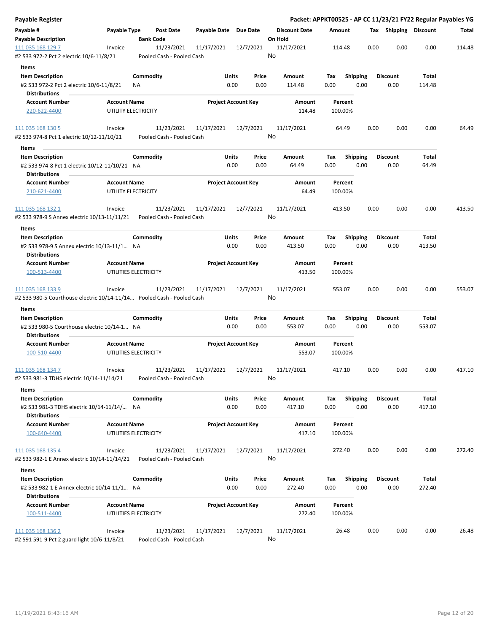| Payable #<br>Payable Type<br>Payable Date Due Date<br><b>Discount Date</b><br>Tax Shipping Discount<br><b>Post Date</b><br>Amount<br><b>Bank Code</b><br>On Hold<br><b>Payable Description</b><br>0.00<br>0.00<br>0.00<br>111 035 168 129 7<br>11/23/2021<br>11/17/2021<br>12/7/2021<br>11/17/2021<br>114.48<br>Invoice<br>No<br>#2 533 972-2 Pct 2 electric 10/6-11/8/21<br>Pooled Cash - Pooled Cash<br><b>Items</b><br>Commodity<br>Units<br><b>Item Description</b><br>Price<br>Amount<br>Tax<br><b>Shipping</b><br><b>Discount</b><br>Total<br>#2 533 972-2 Pct 2 electric 10/6-11/8/21<br>0.00<br>0.00<br>0.00<br>0.00<br>0.00<br>114.48<br>ΝA<br>114.48<br><b>Distributions</b><br><b>Project Account Key</b><br><b>Account Number</b><br><b>Account Name</b><br>Amount<br>Percent<br>114.48<br>220-622-4400<br>UTILITY ELECTRICITY<br>100.00%<br>11/23/2021<br>12/7/2021<br>11/17/2021<br>0.00<br>0.00<br>0.00<br>111 035 168 130 5<br>Invoice<br>11/17/2021<br>64.49<br>No<br>#2 533 974-8 Pct 1 electric 10/12-11/10/21<br>Pooled Cash - Pooled Cash<br>Items<br>Commodity<br>Units<br><b>Discount</b><br><b>Item Description</b><br>Price<br>Amount<br>Tax<br><b>Shipping</b><br>Total<br>0.00<br>0.00<br>64.49<br>0.00<br>0.00<br>0.00<br>64.49<br>#2 533 974-8 Pct 1 electric 10/12-11/10/21 NA<br><b>Distributions</b><br><b>Project Account Key</b><br><b>Account Number</b><br><b>Account Name</b><br>Amount<br>Percent<br>64.49<br>210-621-4400<br>UTILITY ELECTRICITY<br>100.00%<br>11/23/2021<br>12/7/2021<br>11/17/2021<br>0.00<br>0.00<br>0.00<br>111 035 168 132 1<br>Invoice<br>11/17/2021<br>413.50<br>No<br>#2 533 978-9 S Annex electric 10/13-11/11/21<br>Pooled Cash - Pooled Cash<br>Items<br>Commodity<br>Units<br>Price<br>Total<br><b>Item Description</b><br>Amount<br>Tax<br>Shipping<br><b>Discount</b><br>0.00<br>#2 533 978-9 S Annex electric 10/13-11/1 NA<br>0.00<br>0.00<br>413.50<br>0.00<br>0.00<br>413.50<br><b>Distributions</b><br><b>Project Account Key</b><br><b>Account Number</b><br><b>Account Name</b><br>Amount<br>Percent<br>UTILITIES ELECTRICITY<br>413.50<br>100.00%<br>100-513-4400<br>11/23/2021<br>11/17/2021<br>12/7/2021<br>11/17/2021<br>0.00<br>0.00<br>0.00<br>111 035 168 133 9<br>Invoice<br>553.07<br>No<br>#2 533 980-5 Courthouse electric 10/14-11/14  Pooled Cash - Pooled Cash<br>Items<br>Commodity<br>Units<br><b>Discount</b><br><b>Item Description</b><br>Price<br>Amount<br><b>Shipping</b><br>Total<br>Тах<br>0.00<br>0.00<br>0.00<br>0.00<br>0.00<br>#2 533 980-5 Courthouse electric 10/14-1 NA<br>553.07<br>553.07<br><b>Distributions</b><br><b>Account Number</b><br><b>Account Name</b><br><b>Project Account Key</b><br>Amount<br>Percent<br>UTILITIES ELECTRICITY<br>100-510-4400<br>553.07<br>100.00%<br>11/23/2021<br>12/7/2021<br>11/17/2021<br>0.00<br>111 035 168 134 7<br>Invoice<br>11/17/2021<br>417.10<br>0.00<br>0.00<br>No<br>#2 533 981-3 TDHS electric 10/14-11/14/21<br>Pooled Cash - Pooled Cash<br>Items<br>Commodity<br>Units<br>Total<br><b>Item Description</b><br>Price<br>Amount<br><b>Shipping</b><br><b>Discount</b><br>Tax<br>0.00<br>0.00<br>0.00<br>417.10<br>0.00<br>0.00<br>417.10<br>#2 533 981-3 TDHS electric 10/14-11/14/ NA<br><b>Distributions</b><br><b>Account Name</b><br><b>Project Account Key</b><br><b>Account Number</b><br>Amount<br>Percent<br>100-640-4400<br>UTILITIES ELECTRICITY<br>417.10<br>100.00%<br>0.00<br>0.00<br>111 035 168 135 4<br>11/23/2021<br>12/7/2021<br>11/17/2021<br>272.40<br>0.00<br>Invoice<br>11/17/2021<br>No<br>#2 533 982-1 E Annex electric 10/14-11/14/21<br>Pooled Cash - Pooled Cash<br>Items<br>Commodity<br>Units<br><b>Item Description</b><br>Price<br>Amount<br>Tax<br><b>Shipping</b><br><b>Discount</b><br>Total<br>0.00<br>#2 533 982-1 E Annex electric 10/14-11/1 NA<br>0.00<br>0.00<br>272.40<br>0.00<br>0.00<br>272.40<br><b>Distributions</b><br><b>Project Account Key</b><br><b>Account Number</b><br><b>Account Name</b><br>Amount<br>Percent<br>UTILITIES ELECTRICITY<br>272.40<br>100-511-4400<br>100.00%<br>111 035 168 136 2<br>11/23/2021<br>11/17/2021<br>12/7/2021<br>11/17/2021<br>26.48<br>0.00<br>0.00<br>0.00<br>Invoice | Payable Register |  |  |  |  | Packet: APPKT00525 - AP CC 11/23/21 FY22 Regular Payables YG |        |
|---------------------------------------------------------------------------------------------------------------------------------------------------------------------------------------------------------------------------------------------------------------------------------------------------------------------------------------------------------------------------------------------------------------------------------------------------------------------------------------------------------------------------------------------------------------------------------------------------------------------------------------------------------------------------------------------------------------------------------------------------------------------------------------------------------------------------------------------------------------------------------------------------------------------------------------------------------------------------------------------------------------------------------------------------------------------------------------------------------------------------------------------------------------------------------------------------------------------------------------------------------------------------------------------------------------------------------------------------------------------------------------------------------------------------------------------------------------------------------------------------------------------------------------------------------------------------------------------------------------------------------------------------------------------------------------------------------------------------------------------------------------------------------------------------------------------------------------------------------------------------------------------------------------------------------------------------------------------------------------------------------------------------------------------------------------------------------------------------------------------------------------------------------------------------------------------------------------------------------------------------------------------------------------------------------------------------------------------------------------------------------------------------------------------------------------------------------------------------------------------------------------------------------------------------------------------------------------------------------------------------------------------------------------------------------------------------------------------------------------------------------------------------------------------------------------------------------------------------------------------------------------------------------------------------------------------------------------------------------------------------------------------------------------------------------------------------------------------------------------------------------------------------------------------------------------------------------------------------------------------------------------------------------------------------------------------------------------------------------------------------------------------------------------------------------------------------------------------------------------------------------------------------------------------------------------------------------------------------------------------------------------------------------------------------------------------------------------------------------------------------------------------------------------------------------------------------------------------------------------------------------------------------------------------------------------------------------------------------------------------------------------------------------------------------------------------------------------------------------------------------------------------------------------------------------------------------------------------------|------------------|--|--|--|--|--------------------------------------------------------------|--------|
|                                                                                                                                                                                                                                                                                                                                                                                                                                                                                                                                                                                                                                                                                                                                                                                                                                                                                                                                                                                                                                                                                                                                                                                                                                                                                                                                                                                                                                                                                                                                                                                                                                                                                                                                                                                                                                                                                                                                                                                                                                                                                                                                                                                                                                                                                                                                                                                                                                                                                                                                                                                                                                                                                                                                                                                                                                                                                                                                                                                                                                                                                                                                                                                                                                                                                                                                                                                                                                                                                                                                                                                                                                                                                                                                                                                                                                                                                                                                                                                                                                                                                                                                                                                                                           |                  |  |  |  |  |                                                              | Total  |
|                                                                                                                                                                                                                                                                                                                                                                                                                                                                                                                                                                                                                                                                                                                                                                                                                                                                                                                                                                                                                                                                                                                                                                                                                                                                                                                                                                                                                                                                                                                                                                                                                                                                                                                                                                                                                                                                                                                                                                                                                                                                                                                                                                                                                                                                                                                                                                                                                                                                                                                                                                                                                                                                                                                                                                                                                                                                                                                                                                                                                                                                                                                                                                                                                                                                                                                                                                                                                                                                                                                                                                                                                                                                                                                                                                                                                                                                                                                                                                                                                                                                                                                                                                                                                           |                  |  |  |  |  |                                                              |        |
|                                                                                                                                                                                                                                                                                                                                                                                                                                                                                                                                                                                                                                                                                                                                                                                                                                                                                                                                                                                                                                                                                                                                                                                                                                                                                                                                                                                                                                                                                                                                                                                                                                                                                                                                                                                                                                                                                                                                                                                                                                                                                                                                                                                                                                                                                                                                                                                                                                                                                                                                                                                                                                                                                                                                                                                                                                                                                                                                                                                                                                                                                                                                                                                                                                                                                                                                                                                                                                                                                                                                                                                                                                                                                                                                                                                                                                                                                                                                                                                                                                                                                                                                                                                                                           |                  |  |  |  |  |                                                              | 114.48 |
|                                                                                                                                                                                                                                                                                                                                                                                                                                                                                                                                                                                                                                                                                                                                                                                                                                                                                                                                                                                                                                                                                                                                                                                                                                                                                                                                                                                                                                                                                                                                                                                                                                                                                                                                                                                                                                                                                                                                                                                                                                                                                                                                                                                                                                                                                                                                                                                                                                                                                                                                                                                                                                                                                                                                                                                                                                                                                                                                                                                                                                                                                                                                                                                                                                                                                                                                                                                                                                                                                                                                                                                                                                                                                                                                                                                                                                                                                                                                                                                                                                                                                                                                                                                                                           |                  |  |  |  |  |                                                              |        |
|                                                                                                                                                                                                                                                                                                                                                                                                                                                                                                                                                                                                                                                                                                                                                                                                                                                                                                                                                                                                                                                                                                                                                                                                                                                                                                                                                                                                                                                                                                                                                                                                                                                                                                                                                                                                                                                                                                                                                                                                                                                                                                                                                                                                                                                                                                                                                                                                                                                                                                                                                                                                                                                                                                                                                                                                                                                                                                                                                                                                                                                                                                                                                                                                                                                                                                                                                                                                                                                                                                                                                                                                                                                                                                                                                                                                                                                                                                                                                                                                                                                                                                                                                                                                                           |                  |  |  |  |  |                                                              |        |
|                                                                                                                                                                                                                                                                                                                                                                                                                                                                                                                                                                                                                                                                                                                                                                                                                                                                                                                                                                                                                                                                                                                                                                                                                                                                                                                                                                                                                                                                                                                                                                                                                                                                                                                                                                                                                                                                                                                                                                                                                                                                                                                                                                                                                                                                                                                                                                                                                                                                                                                                                                                                                                                                                                                                                                                                                                                                                                                                                                                                                                                                                                                                                                                                                                                                                                                                                                                                                                                                                                                                                                                                                                                                                                                                                                                                                                                                                                                                                                                                                                                                                                                                                                                                                           |                  |  |  |  |  |                                                              |        |
|                                                                                                                                                                                                                                                                                                                                                                                                                                                                                                                                                                                                                                                                                                                                                                                                                                                                                                                                                                                                                                                                                                                                                                                                                                                                                                                                                                                                                                                                                                                                                                                                                                                                                                                                                                                                                                                                                                                                                                                                                                                                                                                                                                                                                                                                                                                                                                                                                                                                                                                                                                                                                                                                                                                                                                                                                                                                                                                                                                                                                                                                                                                                                                                                                                                                                                                                                                                                                                                                                                                                                                                                                                                                                                                                                                                                                                                                                                                                                                                                                                                                                                                                                                                                                           |                  |  |  |  |  |                                                              |        |
|                                                                                                                                                                                                                                                                                                                                                                                                                                                                                                                                                                                                                                                                                                                                                                                                                                                                                                                                                                                                                                                                                                                                                                                                                                                                                                                                                                                                                                                                                                                                                                                                                                                                                                                                                                                                                                                                                                                                                                                                                                                                                                                                                                                                                                                                                                                                                                                                                                                                                                                                                                                                                                                                                                                                                                                                                                                                                                                                                                                                                                                                                                                                                                                                                                                                                                                                                                                                                                                                                                                                                                                                                                                                                                                                                                                                                                                                                                                                                                                                                                                                                                                                                                                                                           |                  |  |  |  |  |                                                              |        |
|                                                                                                                                                                                                                                                                                                                                                                                                                                                                                                                                                                                                                                                                                                                                                                                                                                                                                                                                                                                                                                                                                                                                                                                                                                                                                                                                                                                                                                                                                                                                                                                                                                                                                                                                                                                                                                                                                                                                                                                                                                                                                                                                                                                                                                                                                                                                                                                                                                                                                                                                                                                                                                                                                                                                                                                                                                                                                                                                                                                                                                                                                                                                                                                                                                                                                                                                                                                                                                                                                                                                                                                                                                                                                                                                                                                                                                                                                                                                                                                                                                                                                                                                                                                                                           |                  |  |  |  |  |                                                              |        |
|                                                                                                                                                                                                                                                                                                                                                                                                                                                                                                                                                                                                                                                                                                                                                                                                                                                                                                                                                                                                                                                                                                                                                                                                                                                                                                                                                                                                                                                                                                                                                                                                                                                                                                                                                                                                                                                                                                                                                                                                                                                                                                                                                                                                                                                                                                                                                                                                                                                                                                                                                                                                                                                                                                                                                                                                                                                                                                                                                                                                                                                                                                                                                                                                                                                                                                                                                                                                                                                                                                                                                                                                                                                                                                                                                                                                                                                                                                                                                                                                                                                                                                                                                                                                                           |                  |  |  |  |  |                                                              | 64.49  |
|                                                                                                                                                                                                                                                                                                                                                                                                                                                                                                                                                                                                                                                                                                                                                                                                                                                                                                                                                                                                                                                                                                                                                                                                                                                                                                                                                                                                                                                                                                                                                                                                                                                                                                                                                                                                                                                                                                                                                                                                                                                                                                                                                                                                                                                                                                                                                                                                                                                                                                                                                                                                                                                                                                                                                                                                                                                                                                                                                                                                                                                                                                                                                                                                                                                                                                                                                                                                                                                                                                                                                                                                                                                                                                                                                                                                                                                                                                                                                                                                                                                                                                                                                                                                                           |                  |  |  |  |  |                                                              |        |
|                                                                                                                                                                                                                                                                                                                                                                                                                                                                                                                                                                                                                                                                                                                                                                                                                                                                                                                                                                                                                                                                                                                                                                                                                                                                                                                                                                                                                                                                                                                                                                                                                                                                                                                                                                                                                                                                                                                                                                                                                                                                                                                                                                                                                                                                                                                                                                                                                                                                                                                                                                                                                                                                                                                                                                                                                                                                                                                                                                                                                                                                                                                                                                                                                                                                                                                                                                                                                                                                                                                                                                                                                                                                                                                                                                                                                                                                                                                                                                                                                                                                                                                                                                                                                           |                  |  |  |  |  |                                                              |        |
|                                                                                                                                                                                                                                                                                                                                                                                                                                                                                                                                                                                                                                                                                                                                                                                                                                                                                                                                                                                                                                                                                                                                                                                                                                                                                                                                                                                                                                                                                                                                                                                                                                                                                                                                                                                                                                                                                                                                                                                                                                                                                                                                                                                                                                                                                                                                                                                                                                                                                                                                                                                                                                                                                                                                                                                                                                                                                                                                                                                                                                                                                                                                                                                                                                                                                                                                                                                                                                                                                                                                                                                                                                                                                                                                                                                                                                                                                                                                                                                                                                                                                                                                                                                                                           |                  |  |  |  |  |                                                              |        |
|                                                                                                                                                                                                                                                                                                                                                                                                                                                                                                                                                                                                                                                                                                                                                                                                                                                                                                                                                                                                                                                                                                                                                                                                                                                                                                                                                                                                                                                                                                                                                                                                                                                                                                                                                                                                                                                                                                                                                                                                                                                                                                                                                                                                                                                                                                                                                                                                                                                                                                                                                                                                                                                                                                                                                                                                                                                                                                                                                                                                                                                                                                                                                                                                                                                                                                                                                                                                                                                                                                                                                                                                                                                                                                                                                                                                                                                                                                                                                                                                                                                                                                                                                                                                                           |                  |  |  |  |  |                                                              |        |
|                                                                                                                                                                                                                                                                                                                                                                                                                                                                                                                                                                                                                                                                                                                                                                                                                                                                                                                                                                                                                                                                                                                                                                                                                                                                                                                                                                                                                                                                                                                                                                                                                                                                                                                                                                                                                                                                                                                                                                                                                                                                                                                                                                                                                                                                                                                                                                                                                                                                                                                                                                                                                                                                                                                                                                                                                                                                                                                                                                                                                                                                                                                                                                                                                                                                                                                                                                                                                                                                                                                                                                                                                                                                                                                                                                                                                                                                                                                                                                                                                                                                                                                                                                                                                           |                  |  |  |  |  |                                                              |        |
|                                                                                                                                                                                                                                                                                                                                                                                                                                                                                                                                                                                                                                                                                                                                                                                                                                                                                                                                                                                                                                                                                                                                                                                                                                                                                                                                                                                                                                                                                                                                                                                                                                                                                                                                                                                                                                                                                                                                                                                                                                                                                                                                                                                                                                                                                                                                                                                                                                                                                                                                                                                                                                                                                                                                                                                                                                                                                                                                                                                                                                                                                                                                                                                                                                                                                                                                                                                                                                                                                                                                                                                                                                                                                                                                                                                                                                                                                                                                                                                                                                                                                                                                                                                                                           |                  |  |  |  |  |                                                              | 413.50 |
|                                                                                                                                                                                                                                                                                                                                                                                                                                                                                                                                                                                                                                                                                                                                                                                                                                                                                                                                                                                                                                                                                                                                                                                                                                                                                                                                                                                                                                                                                                                                                                                                                                                                                                                                                                                                                                                                                                                                                                                                                                                                                                                                                                                                                                                                                                                                                                                                                                                                                                                                                                                                                                                                                                                                                                                                                                                                                                                                                                                                                                                                                                                                                                                                                                                                                                                                                                                                                                                                                                                                                                                                                                                                                                                                                                                                                                                                                                                                                                                                                                                                                                                                                                                                                           |                  |  |  |  |  |                                                              |        |
|                                                                                                                                                                                                                                                                                                                                                                                                                                                                                                                                                                                                                                                                                                                                                                                                                                                                                                                                                                                                                                                                                                                                                                                                                                                                                                                                                                                                                                                                                                                                                                                                                                                                                                                                                                                                                                                                                                                                                                                                                                                                                                                                                                                                                                                                                                                                                                                                                                                                                                                                                                                                                                                                                                                                                                                                                                                                                                                                                                                                                                                                                                                                                                                                                                                                                                                                                                                                                                                                                                                                                                                                                                                                                                                                                                                                                                                                                                                                                                                                                                                                                                                                                                                                                           |                  |  |  |  |  |                                                              |        |
|                                                                                                                                                                                                                                                                                                                                                                                                                                                                                                                                                                                                                                                                                                                                                                                                                                                                                                                                                                                                                                                                                                                                                                                                                                                                                                                                                                                                                                                                                                                                                                                                                                                                                                                                                                                                                                                                                                                                                                                                                                                                                                                                                                                                                                                                                                                                                                                                                                                                                                                                                                                                                                                                                                                                                                                                                                                                                                                                                                                                                                                                                                                                                                                                                                                                                                                                                                                                                                                                                                                                                                                                                                                                                                                                                                                                                                                                                                                                                                                                                                                                                                                                                                                                                           |                  |  |  |  |  |                                                              |        |
|                                                                                                                                                                                                                                                                                                                                                                                                                                                                                                                                                                                                                                                                                                                                                                                                                                                                                                                                                                                                                                                                                                                                                                                                                                                                                                                                                                                                                                                                                                                                                                                                                                                                                                                                                                                                                                                                                                                                                                                                                                                                                                                                                                                                                                                                                                                                                                                                                                                                                                                                                                                                                                                                                                                                                                                                                                                                                                                                                                                                                                                                                                                                                                                                                                                                                                                                                                                                                                                                                                                                                                                                                                                                                                                                                                                                                                                                                                                                                                                                                                                                                                                                                                                                                           |                  |  |  |  |  |                                                              |        |
|                                                                                                                                                                                                                                                                                                                                                                                                                                                                                                                                                                                                                                                                                                                                                                                                                                                                                                                                                                                                                                                                                                                                                                                                                                                                                                                                                                                                                                                                                                                                                                                                                                                                                                                                                                                                                                                                                                                                                                                                                                                                                                                                                                                                                                                                                                                                                                                                                                                                                                                                                                                                                                                                                                                                                                                                                                                                                                                                                                                                                                                                                                                                                                                                                                                                                                                                                                                                                                                                                                                                                                                                                                                                                                                                                                                                                                                                                                                                                                                                                                                                                                                                                                                                                           |                  |  |  |  |  |                                                              |        |
|                                                                                                                                                                                                                                                                                                                                                                                                                                                                                                                                                                                                                                                                                                                                                                                                                                                                                                                                                                                                                                                                                                                                                                                                                                                                                                                                                                                                                                                                                                                                                                                                                                                                                                                                                                                                                                                                                                                                                                                                                                                                                                                                                                                                                                                                                                                                                                                                                                                                                                                                                                                                                                                                                                                                                                                                                                                                                                                                                                                                                                                                                                                                                                                                                                                                                                                                                                                                                                                                                                                                                                                                                                                                                                                                                                                                                                                                                                                                                                                                                                                                                                                                                                                                                           |                  |  |  |  |  |                                                              |        |
|                                                                                                                                                                                                                                                                                                                                                                                                                                                                                                                                                                                                                                                                                                                                                                                                                                                                                                                                                                                                                                                                                                                                                                                                                                                                                                                                                                                                                                                                                                                                                                                                                                                                                                                                                                                                                                                                                                                                                                                                                                                                                                                                                                                                                                                                                                                                                                                                                                                                                                                                                                                                                                                                                                                                                                                                                                                                                                                                                                                                                                                                                                                                                                                                                                                                                                                                                                                                                                                                                                                                                                                                                                                                                                                                                                                                                                                                                                                                                                                                                                                                                                                                                                                                                           |                  |  |  |  |  |                                                              |        |
|                                                                                                                                                                                                                                                                                                                                                                                                                                                                                                                                                                                                                                                                                                                                                                                                                                                                                                                                                                                                                                                                                                                                                                                                                                                                                                                                                                                                                                                                                                                                                                                                                                                                                                                                                                                                                                                                                                                                                                                                                                                                                                                                                                                                                                                                                                                                                                                                                                                                                                                                                                                                                                                                                                                                                                                                                                                                                                                                                                                                                                                                                                                                                                                                                                                                                                                                                                                                                                                                                                                                                                                                                                                                                                                                                                                                                                                                                                                                                                                                                                                                                                                                                                                                                           |                  |  |  |  |  |                                                              | 553.07 |
|                                                                                                                                                                                                                                                                                                                                                                                                                                                                                                                                                                                                                                                                                                                                                                                                                                                                                                                                                                                                                                                                                                                                                                                                                                                                                                                                                                                                                                                                                                                                                                                                                                                                                                                                                                                                                                                                                                                                                                                                                                                                                                                                                                                                                                                                                                                                                                                                                                                                                                                                                                                                                                                                                                                                                                                                                                                                                                                                                                                                                                                                                                                                                                                                                                                                                                                                                                                                                                                                                                                                                                                                                                                                                                                                                                                                                                                                                                                                                                                                                                                                                                                                                                                                                           |                  |  |  |  |  |                                                              |        |
|                                                                                                                                                                                                                                                                                                                                                                                                                                                                                                                                                                                                                                                                                                                                                                                                                                                                                                                                                                                                                                                                                                                                                                                                                                                                                                                                                                                                                                                                                                                                                                                                                                                                                                                                                                                                                                                                                                                                                                                                                                                                                                                                                                                                                                                                                                                                                                                                                                                                                                                                                                                                                                                                                                                                                                                                                                                                                                                                                                                                                                                                                                                                                                                                                                                                                                                                                                                                                                                                                                                                                                                                                                                                                                                                                                                                                                                                                                                                                                                                                                                                                                                                                                                                                           |                  |  |  |  |  |                                                              |        |
|                                                                                                                                                                                                                                                                                                                                                                                                                                                                                                                                                                                                                                                                                                                                                                                                                                                                                                                                                                                                                                                                                                                                                                                                                                                                                                                                                                                                                                                                                                                                                                                                                                                                                                                                                                                                                                                                                                                                                                                                                                                                                                                                                                                                                                                                                                                                                                                                                                                                                                                                                                                                                                                                                                                                                                                                                                                                                                                                                                                                                                                                                                                                                                                                                                                                                                                                                                                                                                                                                                                                                                                                                                                                                                                                                                                                                                                                                                                                                                                                                                                                                                                                                                                                                           |                  |  |  |  |  |                                                              |        |
|                                                                                                                                                                                                                                                                                                                                                                                                                                                                                                                                                                                                                                                                                                                                                                                                                                                                                                                                                                                                                                                                                                                                                                                                                                                                                                                                                                                                                                                                                                                                                                                                                                                                                                                                                                                                                                                                                                                                                                                                                                                                                                                                                                                                                                                                                                                                                                                                                                                                                                                                                                                                                                                                                                                                                                                                                                                                                                                                                                                                                                                                                                                                                                                                                                                                                                                                                                                                                                                                                                                                                                                                                                                                                                                                                                                                                                                                                                                                                                                                                                                                                                                                                                                                                           |                  |  |  |  |  |                                                              |        |
|                                                                                                                                                                                                                                                                                                                                                                                                                                                                                                                                                                                                                                                                                                                                                                                                                                                                                                                                                                                                                                                                                                                                                                                                                                                                                                                                                                                                                                                                                                                                                                                                                                                                                                                                                                                                                                                                                                                                                                                                                                                                                                                                                                                                                                                                                                                                                                                                                                                                                                                                                                                                                                                                                                                                                                                                                                                                                                                                                                                                                                                                                                                                                                                                                                                                                                                                                                                                                                                                                                                                                                                                                                                                                                                                                                                                                                                                                                                                                                                                                                                                                                                                                                                                                           |                  |  |  |  |  |                                                              |        |
|                                                                                                                                                                                                                                                                                                                                                                                                                                                                                                                                                                                                                                                                                                                                                                                                                                                                                                                                                                                                                                                                                                                                                                                                                                                                                                                                                                                                                                                                                                                                                                                                                                                                                                                                                                                                                                                                                                                                                                                                                                                                                                                                                                                                                                                                                                                                                                                                                                                                                                                                                                                                                                                                                                                                                                                                                                                                                                                                                                                                                                                                                                                                                                                                                                                                                                                                                                                                                                                                                                                                                                                                                                                                                                                                                                                                                                                                                                                                                                                                                                                                                                                                                                                                                           |                  |  |  |  |  |                                                              |        |
|                                                                                                                                                                                                                                                                                                                                                                                                                                                                                                                                                                                                                                                                                                                                                                                                                                                                                                                                                                                                                                                                                                                                                                                                                                                                                                                                                                                                                                                                                                                                                                                                                                                                                                                                                                                                                                                                                                                                                                                                                                                                                                                                                                                                                                                                                                                                                                                                                                                                                                                                                                                                                                                                                                                                                                                                                                                                                                                                                                                                                                                                                                                                                                                                                                                                                                                                                                                                                                                                                                                                                                                                                                                                                                                                                                                                                                                                                                                                                                                                                                                                                                                                                                                                                           |                  |  |  |  |  |                                                              | 417.10 |
|                                                                                                                                                                                                                                                                                                                                                                                                                                                                                                                                                                                                                                                                                                                                                                                                                                                                                                                                                                                                                                                                                                                                                                                                                                                                                                                                                                                                                                                                                                                                                                                                                                                                                                                                                                                                                                                                                                                                                                                                                                                                                                                                                                                                                                                                                                                                                                                                                                                                                                                                                                                                                                                                                                                                                                                                                                                                                                                                                                                                                                                                                                                                                                                                                                                                                                                                                                                                                                                                                                                                                                                                                                                                                                                                                                                                                                                                                                                                                                                                                                                                                                                                                                                                                           |                  |  |  |  |  |                                                              |        |
|                                                                                                                                                                                                                                                                                                                                                                                                                                                                                                                                                                                                                                                                                                                                                                                                                                                                                                                                                                                                                                                                                                                                                                                                                                                                                                                                                                                                                                                                                                                                                                                                                                                                                                                                                                                                                                                                                                                                                                                                                                                                                                                                                                                                                                                                                                                                                                                                                                                                                                                                                                                                                                                                                                                                                                                                                                                                                                                                                                                                                                                                                                                                                                                                                                                                                                                                                                                                                                                                                                                                                                                                                                                                                                                                                                                                                                                                                                                                                                                                                                                                                                                                                                                                                           |                  |  |  |  |  |                                                              |        |
|                                                                                                                                                                                                                                                                                                                                                                                                                                                                                                                                                                                                                                                                                                                                                                                                                                                                                                                                                                                                                                                                                                                                                                                                                                                                                                                                                                                                                                                                                                                                                                                                                                                                                                                                                                                                                                                                                                                                                                                                                                                                                                                                                                                                                                                                                                                                                                                                                                                                                                                                                                                                                                                                                                                                                                                                                                                                                                                                                                                                                                                                                                                                                                                                                                                                                                                                                                                                                                                                                                                                                                                                                                                                                                                                                                                                                                                                                                                                                                                                                                                                                                                                                                                                                           |                  |  |  |  |  |                                                              |        |
|                                                                                                                                                                                                                                                                                                                                                                                                                                                                                                                                                                                                                                                                                                                                                                                                                                                                                                                                                                                                                                                                                                                                                                                                                                                                                                                                                                                                                                                                                                                                                                                                                                                                                                                                                                                                                                                                                                                                                                                                                                                                                                                                                                                                                                                                                                                                                                                                                                                                                                                                                                                                                                                                                                                                                                                                                                                                                                                                                                                                                                                                                                                                                                                                                                                                                                                                                                                                                                                                                                                                                                                                                                                                                                                                                                                                                                                                                                                                                                                                                                                                                                                                                                                                                           |                  |  |  |  |  |                                                              |        |
|                                                                                                                                                                                                                                                                                                                                                                                                                                                                                                                                                                                                                                                                                                                                                                                                                                                                                                                                                                                                                                                                                                                                                                                                                                                                                                                                                                                                                                                                                                                                                                                                                                                                                                                                                                                                                                                                                                                                                                                                                                                                                                                                                                                                                                                                                                                                                                                                                                                                                                                                                                                                                                                                                                                                                                                                                                                                                                                                                                                                                                                                                                                                                                                                                                                                                                                                                                                                                                                                                                                                                                                                                                                                                                                                                                                                                                                                                                                                                                                                                                                                                                                                                                                                                           |                  |  |  |  |  |                                                              |        |
|                                                                                                                                                                                                                                                                                                                                                                                                                                                                                                                                                                                                                                                                                                                                                                                                                                                                                                                                                                                                                                                                                                                                                                                                                                                                                                                                                                                                                                                                                                                                                                                                                                                                                                                                                                                                                                                                                                                                                                                                                                                                                                                                                                                                                                                                                                                                                                                                                                                                                                                                                                                                                                                                                                                                                                                                                                                                                                                                                                                                                                                                                                                                                                                                                                                                                                                                                                                                                                                                                                                                                                                                                                                                                                                                                                                                                                                                                                                                                                                                                                                                                                                                                                                                                           |                  |  |  |  |  |                                                              |        |
|                                                                                                                                                                                                                                                                                                                                                                                                                                                                                                                                                                                                                                                                                                                                                                                                                                                                                                                                                                                                                                                                                                                                                                                                                                                                                                                                                                                                                                                                                                                                                                                                                                                                                                                                                                                                                                                                                                                                                                                                                                                                                                                                                                                                                                                                                                                                                                                                                                                                                                                                                                                                                                                                                                                                                                                                                                                                                                                                                                                                                                                                                                                                                                                                                                                                                                                                                                                                                                                                                                                                                                                                                                                                                                                                                                                                                                                                                                                                                                                                                                                                                                                                                                                                                           |                  |  |  |  |  |                                                              | 272.40 |
|                                                                                                                                                                                                                                                                                                                                                                                                                                                                                                                                                                                                                                                                                                                                                                                                                                                                                                                                                                                                                                                                                                                                                                                                                                                                                                                                                                                                                                                                                                                                                                                                                                                                                                                                                                                                                                                                                                                                                                                                                                                                                                                                                                                                                                                                                                                                                                                                                                                                                                                                                                                                                                                                                                                                                                                                                                                                                                                                                                                                                                                                                                                                                                                                                                                                                                                                                                                                                                                                                                                                                                                                                                                                                                                                                                                                                                                                                                                                                                                                                                                                                                                                                                                                                           |                  |  |  |  |  |                                                              |        |
|                                                                                                                                                                                                                                                                                                                                                                                                                                                                                                                                                                                                                                                                                                                                                                                                                                                                                                                                                                                                                                                                                                                                                                                                                                                                                                                                                                                                                                                                                                                                                                                                                                                                                                                                                                                                                                                                                                                                                                                                                                                                                                                                                                                                                                                                                                                                                                                                                                                                                                                                                                                                                                                                                                                                                                                                                                                                                                                                                                                                                                                                                                                                                                                                                                                                                                                                                                                                                                                                                                                                                                                                                                                                                                                                                                                                                                                                                                                                                                                                                                                                                                                                                                                                                           |                  |  |  |  |  |                                                              |        |
|                                                                                                                                                                                                                                                                                                                                                                                                                                                                                                                                                                                                                                                                                                                                                                                                                                                                                                                                                                                                                                                                                                                                                                                                                                                                                                                                                                                                                                                                                                                                                                                                                                                                                                                                                                                                                                                                                                                                                                                                                                                                                                                                                                                                                                                                                                                                                                                                                                                                                                                                                                                                                                                                                                                                                                                                                                                                                                                                                                                                                                                                                                                                                                                                                                                                                                                                                                                                                                                                                                                                                                                                                                                                                                                                                                                                                                                                                                                                                                                                                                                                                                                                                                                                                           |                  |  |  |  |  |                                                              |        |
|                                                                                                                                                                                                                                                                                                                                                                                                                                                                                                                                                                                                                                                                                                                                                                                                                                                                                                                                                                                                                                                                                                                                                                                                                                                                                                                                                                                                                                                                                                                                                                                                                                                                                                                                                                                                                                                                                                                                                                                                                                                                                                                                                                                                                                                                                                                                                                                                                                                                                                                                                                                                                                                                                                                                                                                                                                                                                                                                                                                                                                                                                                                                                                                                                                                                                                                                                                                                                                                                                                                                                                                                                                                                                                                                                                                                                                                                                                                                                                                                                                                                                                                                                                                                                           |                  |  |  |  |  |                                                              |        |
|                                                                                                                                                                                                                                                                                                                                                                                                                                                                                                                                                                                                                                                                                                                                                                                                                                                                                                                                                                                                                                                                                                                                                                                                                                                                                                                                                                                                                                                                                                                                                                                                                                                                                                                                                                                                                                                                                                                                                                                                                                                                                                                                                                                                                                                                                                                                                                                                                                                                                                                                                                                                                                                                                                                                                                                                                                                                                                                                                                                                                                                                                                                                                                                                                                                                                                                                                                                                                                                                                                                                                                                                                                                                                                                                                                                                                                                                                                                                                                                                                                                                                                                                                                                                                           |                  |  |  |  |  |                                                              |        |
|                                                                                                                                                                                                                                                                                                                                                                                                                                                                                                                                                                                                                                                                                                                                                                                                                                                                                                                                                                                                                                                                                                                                                                                                                                                                                                                                                                                                                                                                                                                                                                                                                                                                                                                                                                                                                                                                                                                                                                                                                                                                                                                                                                                                                                                                                                                                                                                                                                                                                                                                                                                                                                                                                                                                                                                                                                                                                                                                                                                                                                                                                                                                                                                                                                                                                                                                                                                                                                                                                                                                                                                                                                                                                                                                                                                                                                                                                                                                                                                                                                                                                                                                                                                                                           |                  |  |  |  |  |                                                              |        |
|                                                                                                                                                                                                                                                                                                                                                                                                                                                                                                                                                                                                                                                                                                                                                                                                                                                                                                                                                                                                                                                                                                                                                                                                                                                                                                                                                                                                                                                                                                                                                                                                                                                                                                                                                                                                                                                                                                                                                                                                                                                                                                                                                                                                                                                                                                                                                                                                                                                                                                                                                                                                                                                                                                                                                                                                                                                                                                                                                                                                                                                                                                                                                                                                                                                                                                                                                                                                                                                                                                                                                                                                                                                                                                                                                                                                                                                                                                                                                                                                                                                                                                                                                                                                                           |                  |  |  |  |  |                                                              |        |
| No<br>#2 591 591-9 Pct 2 guard light 10/6-11/8/21<br>Pooled Cash - Pooled Cash                                                                                                                                                                                                                                                                                                                                                                                                                                                                                                                                                                                                                                                                                                                                                                                                                                                                                                                                                                                                                                                                                                                                                                                                                                                                                                                                                                                                                                                                                                                                                                                                                                                                                                                                                                                                                                                                                                                                                                                                                                                                                                                                                                                                                                                                                                                                                                                                                                                                                                                                                                                                                                                                                                                                                                                                                                                                                                                                                                                                                                                                                                                                                                                                                                                                                                                                                                                                                                                                                                                                                                                                                                                                                                                                                                                                                                                                                                                                                                                                                                                                                                                                            |                  |  |  |  |  |                                                              | 26.48  |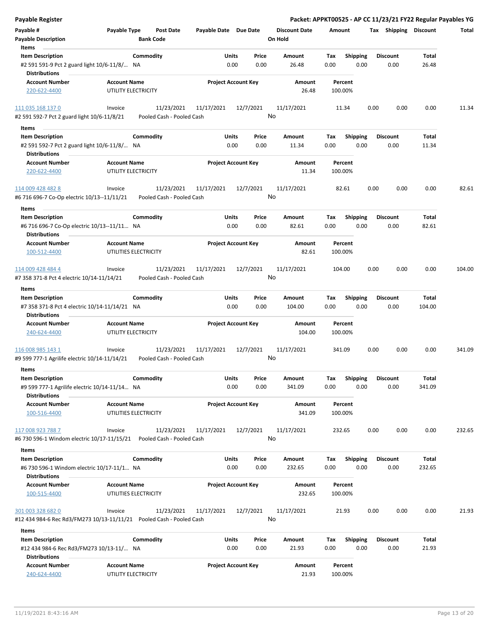| Payable Register                                                                                 |                                                                          |                            |               |                                 |                    |                         | Packet: APPKT00525 - AP CC 11/23/21 FY22 Regular Payables YG |                |        |
|--------------------------------------------------------------------------------------------------|--------------------------------------------------------------------------|----------------------------|---------------|---------------------------------|--------------------|-------------------------|--------------------------------------------------------------|----------------|--------|
| Payable #<br><b>Payable Description</b>                                                          | Payable Type<br><b>Post Date</b><br><b>Bank Code</b>                     | Payable Date Due Date      |               | <b>Discount Date</b><br>On Hold | Amount             |                         | Tax Shipping Discount                                        |                | Total  |
| Items                                                                                            |                                                                          |                            |               |                                 |                    |                         |                                                              |                |        |
| <b>Item Description</b>                                                                          | Commodity                                                                | Units                      | Price         | Amount                          | Tax                | <b>Shipping</b>         | <b>Discount</b>                                              | Total          |        |
| #2 591 591-9 Pct 2 guard light 10/6-11/8/ NA<br><b>Distributions</b>                             |                                                                          | 0.00                       | 0.00          | 26.48                           | 0.00               | 0.00                    | 0.00                                                         | 26.48          |        |
| <b>Account Number</b>                                                                            | <b>Account Name</b>                                                      | <b>Project Account Key</b> |               | Amount                          | Percent            |                         |                                                              |                |        |
| 220-622-4400                                                                                     | UTILITY ELECTRICITY                                                      |                            |               | 26.48                           | 100.00%            |                         |                                                              |                |        |
| 111 035 168 137 0                                                                                | 11/23/2021<br>Invoice                                                    | 11/17/2021                 | 12/7/2021     | 11/17/2021                      | 11.34              | 0.00                    | 0.00                                                         | 0.00           | 11.34  |
| #2 591 592-7 Pct 2 guard light 10/6-11/8/21                                                      | Pooled Cash - Pooled Cash                                                |                            |               | No                              |                    |                         |                                                              |                |        |
| Items                                                                                            |                                                                          |                            |               |                                 |                    |                         |                                                              |                |        |
| <b>Item Description</b>                                                                          | Commodity                                                                | Units                      | Price         | Amount                          | Tax                | <b>Shipping</b>         | <b>Discount</b>                                              | Total          |        |
| #2 591 592-7 Pct 2 guard light 10/6-11/8/ NA<br><b>Distributions</b>                             |                                                                          | 0.00                       | 0.00          | 11.34                           | 0.00               | 0.00                    | 0.00                                                         | 11.34          |        |
| <b>Account Number</b>                                                                            | <b>Account Name</b>                                                      | <b>Project Account Key</b> |               | Amount                          | Percent            |                         |                                                              |                |        |
| 220-622-4400                                                                                     | UTILITY ELECTRICITY                                                      |                            |               | 11.34                           | 100.00%            |                         |                                                              |                |        |
| 114 009 428 482 8<br>#6 716 696-7 Co-Op electric 10/13--11/11/21                                 | 11/23/2021<br>Invoice<br>Pooled Cash - Pooled Cash                       | 11/17/2021                 | 12/7/2021     | 11/17/2021<br>No                | 82.61              | 0.00                    | 0.00                                                         | 0.00           | 82.61  |
| Items                                                                                            |                                                                          |                            |               |                                 |                    |                         |                                                              |                |        |
| <b>Item Description</b>                                                                          | Commodity                                                                | Units                      | Price         | Amount                          | Tax                | <b>Shipping</b>         | <b>Discount</b>                                              | Total          |        |
| #6 716 696-7 Co-Op electric 10/13--11/11 NA<br><b>Distributions</b>                              |                                                                          | 0.00                       | 0.00          | 82.61                           | 0.00               | 0.00                    | 0.00                                                         | 82.61          |        |
| <b>Account Number</b>                                                                            | <b>Account Name</b>                                                      | <b>Project Account Key</b> |               | Amount                          | Percent            |                         |                                                              |                |        |
| 100-512-4400                                                                                     | UTILITIES ELECTRICITY                                                    |                            |               | 82.61                           | 100.00%            |                         |                                                              |                |        |
| 114 009 428 484 4<br>#7 358 371-8 Pct 4 electric 10/14-11/14/21                                  | 11/23/2021<br>Invoice<br>Pooled Cash - Pooled Cash                       | 11/17/2021                 | 12/7/2021     | 11/17/2021<br>No                | 104.00             | 0.00                    | 0.00                                                         | 0.00           | 104.00 |
|                                                                                                  |                                                                          |                            |               |                                 |                    |                         |                                                              |                |        |
| Items                                                                                            |                                                                          |                            |               |                                 |                    |                         | <b>Discount</b>                                              | Total          |        |
| <b>Item Description</b><br>#7 358 371-8 Pct 4 electric 10/14-11/14/21 NA<br><b>Distributions</b> | Commodity                                                                | Units<br>0.00              | Price<br>0.00 | Amount<br>104.00                | Tax<br>0.00        | <b>Shipping</b><br>0.00 | 0.00                                                         | 104.00         |        |
| <b>Account Number</b>                                                                            | <b>Account Name</b>                                                      | <b>Project Account Key</b> |               | Amount                          | Percent            |                         |                                                              |                |        |
| 240-624-4400                                                                                     | UTILITY ELECTRICITY                                                      |                            |               | 104.00                          | 100.00%            |                         |                                                              |                |        |
| 116 008 985 143 1                                                                                | 11/23/2021<br>Invoice                                                    | 11/17/2021                 | 12/7/2021     | 11/17/2021                      | 341.09             | 0.00                    | 0.00                                                         | 0.00           | 341.09 |
| #9 599 777-1 Agrilife electric 10/14-11/14/21                                                    | Pooled Cash - Pooled Cash                                                |                            |               | No                              |                    |                         |                                                              |                |        |
| Items                                                                                            |                                                                          |                            |               |                                 |                    |                         |                                                              |                |        |
| <b>Item Description</b>                                                                          | Commodity                                                                | Units                      | Price         | Amount                          | Tax                | Shipping                | <b>Discount</b>                                              | Total          |        |
| #9 599 777-1 Agrilife electric 10/14-11/14 NA<br><b>Distributions</b>                            |                                                                          | 0.00                       | 0.00          | 341.09                          | 0.00               | 0.00                    | 0.00                                                         | 341.09         |        |
| <b>Account Number</b>                                                                            | <b>Account Name</b>                                                      | <b>Project Account Key</b> |               | Amount                          | Percent            |                         |                                                              |                |        |
| 100-516-4400                                                                                     | UTILITIES ELECTRICITY                                                    |                            |               | 341.09                          | 100.00%            |                         |                                                              |                |        |
| 117 008 923 788 7                                                                                | 11/23/2021<br>Invoice                                                    | 11/17/2021                 | 12/7/2021     | 11/17/2021                      | 232.65             | 0.00                    | 0.00                                                         | 0.00           | 232.65 |
|                                                                                                  | #6 730 596-1 Windom electric 10/17-11/15/21    Pooled Cash - Pooled Cash |                            |               | No                              |                    |                         |                                                              |                |        |
| Items                                                                                            |                                                                          |                            |               |                                 |                    |                         |                                                              |                |        |
| <b>Item Description</b>                                                                          | Commodity                                                                | Units                      | Price         | Amount                          | Тах                | Shipping                | <b>Discount</b>                                              | Total          |        |
| #6 730 596-1 Windom electric 10/17-11/1 NA                                                       |                                                                          | 0.00                       | 0.00          | 232.65                          | 0.00               | 0.00                    | 0.00                                                         | 232.65         |        |
| <b>Distributions</b>                                                                             |                                                                          |                            |               |                                 |                    |                         |                                                              |                |        |
| <b>Account Number</b>                                                                            | <b>Account Name</b>                                                      | <b>Project Account Key</b> |               | Amount                          | Percent            |                         |                                                              |                |        |
| 100-515-4400                                                                                     | UTILITIES ELECTRICITY                                                    |                            |               | 232.65                          | 100.00%            |                         |                                                              |                |        |
| 301 003 328 682 0                                                                                | 11/23/2021<br>Invoice                                                    | 11/17/2021                 | 12/7/2021     | 11/17/2021                      | 21.93              | 0.00                    | 0.00                                                         | 0.00           | 21.93  |
|                                                                                                  | #12 434 984-6 Rec Rd3/FM273 10/13-11/11/21    Pooled Cash - Pooled Cash  |                            |               | No                              |                    |                         |                                                              |                |        |
| Items                                                                                            |                                                                          |                            |               |                                 |                    |                         |                                                              |                |        |
| <b>Item Description</b><br>#12 434 984-6 Rec Rd3/FM273 10/13-11/ NA                              | Commodity                                                                | Units<br>0.00              | Price<br>0.00 | Amount<br>21.93                 | Tax<br>0.00        | Shipping<br>0.00        | Discount<br>0.00                                             | Total<br>21.93 |        |
| <b>Distributions</b>                                                                             |                                                                          |                            |               |                                 |                    |                         |                                                              |                |        |
| <b>Account Number</b><br>240-624-4400                                                            | <b>Account Name</b><br>UTILITY ELECTRICITY                               | <b>Project Account Key</b> |               | Amount<br>21.93                 | Percent<br>100.00% |                         |                                                              |                |        |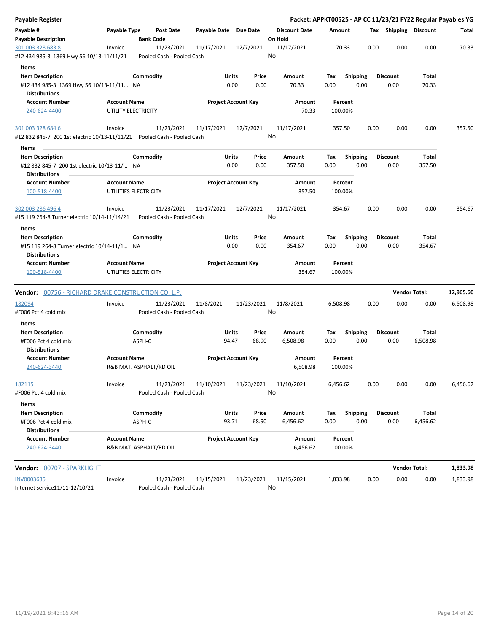| Payable Register                                                           |                         |                                         |                       |                            |                      |          |                 |      |                       |                      | Packet: APPKT00525 - AP CC 11/23/21 FY22 Regular Payables YG |
|----------------------------------------------------------------------------|-------------------------|-----------------------------------------|-----------------------|----------------------------|----------------------|----------|-----------------|------|-----------------------|----------------------|--------------------------------------------------------------|
| Payable #                                                                  | Payable Type            | <b>Post Date</b>                        | Payable Date Due Date |                            | <b>Discount Date</b> | Amount   |                 |      | Tax Shipping Discount |                      | Total                                                        |
| <b>Payable Description</b>                                                 |                         | <b>Bank Code</b>                        |                       |                            | On Hold              |          |                 |      |                       |                      |                                                              |
| 301 003 328 683 8                                                          | Invoice                 | 11/23/2021                              | 11/17/2021            | 12/7/2021                  | 11/17/2021           | 70.33    |                 | 0.00 | 0.00                  | 0.00                 | 70.33                                                        |
| #12 434 985-3 1369 Hwy 56 10/13-11/11/21                                   |                         | Pooled Cash - Pooled Cash               |                       |                            | No                   |          |                 |      |                       |                      |                                                              |
| Items                                                                      |                         |                                         |                       |                            |                      |          |                 |      |                       |                      |                                                              |
| <b>Item Description</b>                                                    |                         | Commodity                               | Units                 | Price                      | Amount               | Tax      | <b>Shipping</b> |      | Discount              | Total                |                                                              |
| #12 434 985-3 1369 Hwy 56 10/13-11/11 NA                                   |                         |                                         |                       | 0.00<br>0.00               | 70.33                | 0.00     | 0.00            |      | 0.00                  | 70.33                |                                                              |
| <b>Distributions</b>                                                       |                         |                                         |                       |                            |                      |          |                 |      |                       |                      |                                                              |
| <b>Account Number</b>                                                      | <b>Account Name</b>     |                                         |                       | <b>Project Account Key</b> | Amount               | Percent  |                 |      |                       |                      |                                                              |
| 240-624-4400                                                               | UTILITY ELECTRICITY     |                                         |                       |                            | 70.33                | 100.00%  |                 |      |                       |                      |                                                              |
| 301 003 328 684 6                                                          | Invoice                 | 11/23/2021                              | 11/17/2021            | 12/7/2021                  | 11/17/2021           | 357.50   |                 | 0.00 | 0.00                  | 0.00                 | 357.50                                                       |
| #12 832 845-7 200 1st electric 10/13-11/11/21    Pooled Cash - Pooled Cash |                         |                                         |                       |                            | No                   |          |                 |      |                       |                      |                                                              |
| Items                                                                      |                         |                                         |                       |                            |                      |          |                 |      |                       |                      |                                                              |
| <b>Item Description</b>                                                    |                         | Commodity                               | Units                 | Price                      | Amount               | Tax      | <b>Shipping</b> |      | <b>Discount</b>       | Total                |                                                              |
| #12 832 845-7 200 1st electric 10/13-11/ NA                                |                         |                                         |                       | 0.00<br>0.00               | 357.50               | 0.00     | 0.00            |      | 0.00                  | 357.50               |                                                              |
| <b>Distributions</b>                                                       |                         |                                         |                       |                            |                      |          |                 |      |                       |                      |                                                              |
| <b>Account Number</b>                                                      | <b>Account Name</b>     |                                         |                       | <b>Project Account Key</b> | Amount               | Percent  |                 |      |                       |                      |                                                              |
| 100-518-4400                                                               | UTILITIES ELECTRICITY   |                                         |                       |                            | 357.50               | 100.00%  |                 |      |                       |                      |                                                              |
| 302 003 286 496 4                                                          | Invoice                 | 11/23/2021                              | 11/17/2021            | 12/7/2021                  | 11/17/2021           | 354.67   |                 | 0.00 | 0.00                  | 0.00                 | 354.67                                                       |
| #15 119 264-8 Turner electric 10/14-11/14/21                               |                         | Pooled Cash - Pooled Cash               |                       |                            | No                   |          |                 |      |                       |                      |                                                              |
| Items                                                                      |                         |                                         |                       |                            |                      |          |                 |      |                       |                      |                                                              |
| <b>Item Description</b>                                                    |                         | Commodity                               | Units                 | Price                      | Amount               | Tax      | Shipping        |      | <b>Discount</b>       | Total                |                                                              |
| #15 119 264-8 Turner electric 10/14-11/1 NA                                |                         |                                         |                       | 0.00<br>0.00               | 354.67               | 0.00     | 0.00            |      | 0.00                  | 354.67               |                                                              |
| <b>Distributions</b>                                                       |                         |                                         |                       |                            |                      |          |                 |      |                       |                      |                                                              |
| <b>Account Number</b>                                                      | <b>Account Name</b>     |                                         |                       | <b>Project Account Key</b> | Amount               | Percent  |                 |      |                       |                      |                                                              |
| 100-518-4400                                                               | UTILITIES ELECTRICITY   |                                         |                       |                            | 354.67               | 100.00%  |                 |      |                       |                      |                                                              |
| <b>Vendor:</b> 00756 - RICHARD DRAKE CONSTRUCTION CO. L.P.                 |                         |                                         |                       |                            |                      |          |                 |      |                       | <b>Vendor Total:</b> | 12,965.60                                                    |
| 182094                                                                     | Invoice                 | 11/23/2021                              | 11/8/2021             | 11/23/2021                 | 11/8/2021            | 6,508.98 |                 | 0.00 | 0.00                  | 0.00                 | 6,508.98                                                     |
| #F006 Pct 4 cold mix                                                       |                         | Pooled Cash - Pooled Cash               |                       |                            | No                   |          |                 |      |                       |                      |                                                              |
|                                                                            |                         |                                         |                       |                            |                      |          |                 |      |                       |                      |                                                              |
| Items<br><b>Item Description</b>                                           |                         | Commodity                               | Units                 | Price                      | Amount               | Tax      | <b>Shipping</b> |      | Discount              | Total                |                                                              |
| #F006 Pct 4 cold mix                                                       | ASPH-C                  |                                         | 94.47                 | 68.90                      | 6,508.98             | 0.00     | 0.00            |      | 0.00                  | 6,508.98             |                                                              |
| <b>Distributions</b>                                                       |                         |                                         |                       |                            |                      |          |                 |      |                       |                      |                                                              |
| <b>Account Number</b>                                                      | <b>Account Name</b>     |                                         |                       | <b>Project Account Key</b> | Amount               | Percent  |                 |      |                       |                      |                                                              |
| 240-624-3440                                                               | R&B MAT. ASPHALT/RD OIL |                                         |                       |                            | 6,508.98             | 100.00%  |                 |      |                       |                      |                                                              |
| <u>182115</u>                                                              | Invoice                 | 11/23/2021                              | 11/10/2021            | 11/23/2021                 | 11/10/2021           | 6,456.62 |                 | 0.00 | 0.00                  | 0.00                 | 6,456.62                                                     |
| #F006 Pct 4 cold mix                                                       |                         | Pooled Cash - Pooled Cash               |                       |                            | No                   |          |                 |      |                       |                      |                                                              |
| Items                                                                      |                         |                                         |                       |                            |                      |          |                 |      |                       |                      |                                                              |
| <b>Item Description</b>                                                    |                         | Commodity                               | Units                 | Price                      | Amount               | Tax      | <b>Shipping</b> |      | <b>Discount</b>       | Total                |                                                              |
| #F006 Pct 4 cold mix                                                       | ASPH-C                  |                                         | 93.71                 | 68.90                      | 6,456.62             | 0.00     | 0.00            |      | 0.00                  | 6,456.62             |                                                              |
| <b>Distributions</b>                                                       |                         |                                         |                       |                            |                      |          |                 |      |                       |                      |                                                              |
| <b>Account Number</b>                                                      | <b>Account Name</b>     |                                         |                       | <b>Project Account Key</b> | Amount               | Percent  |                 |      |                       |                      |                                                              |
| 240-624-3440                                                               | R&B MAT. ASPHALT/RD OIL |                                         |                       |                            | 6,456.62             | 100.00%  |                 |      |                       |                      |                                                              |
| <b>Vendor:</b> <u>00707 - SPARKLIGHT</u>                                   |                         |                                         |                       |                            |                      |          |                 |      |                       | <b>Vendor Total:</b> | 1,833.98                                                     |
|                                                                            |                         |                                         |                       |                            |                      |          |                 | 0.00 | 0.00                  | 0.00                 |                                                              |
| INV0003635<br>Internet service11/11-12/10/21                               | Invoice                 | 11/23/2021<br>Pooled Cash - Pooled Cash | 11/15/2021            | 11/23/2021                 | 11/15/2021<br>No     | 1,833.98 |                 |      |                       |                      | 1,833.98                                                     |
|                                                                            |                         |                                         |                       |                            |                      |          |                 |      |                       |                      |                                                              |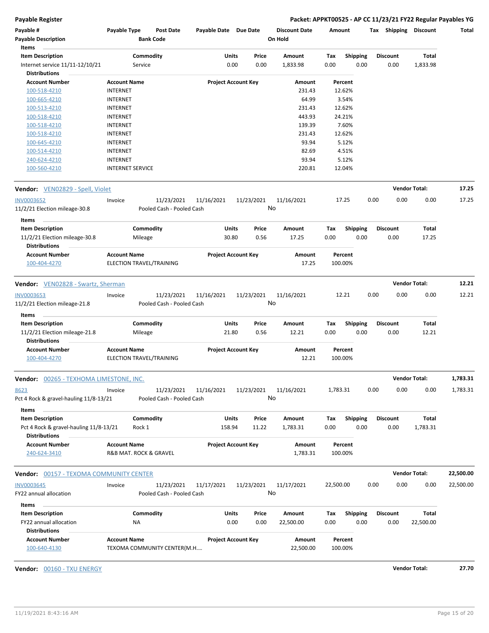| Payable #<br><b>Payable Description</b><br>Items               | Payable Type                                    | Post Date<br><b>Bank Code</b>           | Payable Date Due Date |                            | <b>Discount Date</b><br>On Hold |             | Amount             |      |                         | Tax Shipping Discount | Total     |
|----------------------------------------------------------------|-------------------------------------------------|-----------------------------------------|-----------------------|----------------------------|---------------------------------|-------------|--------------------|------|-------------------------|-----------------------|-----------|
| <b>Item Description</b><br>Internet service 11/11-12/10/21     | Service                                         | Commodity                               | Units                 | Price<br>0.00<br>0.00      | Amount<br>1,833.98              | Tax<br>0.00 | Shipping<br>0.00   |      | <b>Discount</b><br>0.00 | Total<br>1,833.98     |           |
| <b>Distributions</b>                                           |                                                 |                                         |                       |                            |                                 |             |                    |      |                         |                       |           |
| <b>Account Number</b>                                          | <b>Account Name</b>                             |                                         |                       | <b>Project Account Key</b> | Amount                          |             | Percent            |      |                         |                       |           |
| 100-518-4210                                                   | <b>INTERNET</b>                                 |                                         |                       |                            | 231.43                          |             | 12.62%             |      |                         |                       |           |
| 100-665-4210                                                   | <b>INTERNET</b>                                 |                                         |                       |                            | 64.99                           |             | 3.54%              |      |                         |                       |           |
| 100-513-4210                                                   | <b>INTERNET</b>                                 |                                         |                       |                            | 231.43                          |             | 12.62%             |      |                         |                       |           |
| 100-518-4210                                                   | <b>INTERNET</b>                                 |                                         |                       |                            | 443.93                          |             | 24.21%             |      |                         |                       |           |
| 100-518-4210                                                   | <b>INTERNET</b>                                 |                                         |                       |                            | 139.39                          |             | 7.60%              |      |                         |                       |           |
| 100-518-4210                                                   | <b>INTERNET</b>                                 |                                         |                       |                            | 231.43                          |             | 12.62%             |      |                         |                       |           |
| 100-645-4210                                                   | <b>INTERNET</b>                                 |                                         |                       |                            | 93.94                           |             | 5.12%              |      |                         |                       |           |
| 100-514-4210                                                   | <b>INTERNET</b>                                 |                                         |                       |                            | 82.69                           |             | 4.51%              |      |                         |                       |           |
|                                                                |                                                 |                                         |                       |                            | 93.94                           |             | 5.12%              |      |                         |                       |           |
| 240-624-4210<br>100-560-4210                                   | <b>INTERNET</b><br><b>INTERNET SERVICE</b>      |                                         |                       |                            | 220.81                          |             | 12.04%             |      |                         |                       |           |
| Vendor: VEN02829 - Spell, Violet                               |                                                 |                                         |                       |                            |                                 |             |                    |      |                         | <b>Vendor Total:</b>  | 17.25     |
| <b>INV0003652</b>                                              | Invoice                                         | 11/23/2021                              | 11/16/2021            | 11/23/2021                 | 11/16/2021                      |             | 17.25              | 0.00 | 0.00                    | 0.00                  | 17.25     |
| 11/2/21 Election mileage-30.8                                  |                                                 | Pooled Cash - Pooled Cash               |                       |                            | No                              |             |                    |      |                         |                       |           |
| Items                                                          |                                                 |                                         |                       |                            |                                 |             |                    |      |                         |                       |           |
| <b>Item Description</b>                                        |                                                 | Commodity                               | Units                 | Price                      | Amount                          | Tax         | <b>Shipping</b>    |      | <b>Discount</b>         | Total                 |           |
| 11/2/21 Election mileage-30.8<br><b>Distributions</b>          | Mileage                                         |                                         | 30.80                 | 0.56                       | 17.25                           | 0.00        | 0.00               |      | 0.00                    | 17.25                 |           |
| <b>Account Number</b><br>100-404-4270                          | <b>Account Name</b><br>ELECTION TRAVEL/TRAINING |                                         |                       | <b>Project Account Key</b> | Amount<br>17.25                 |             | Percent<br>100.00% |      |                         |                       |           |
| Vendor: VEN02828 - Swartz, Sherman                             |                                                 |                                         |                       |                            |                                 |             |                    |      |                         | <b>Vendor Total:</b>  | 12.21     |
| <b>INV0003653</b>                                              | Invoice                                         | 11/23/2021                              | 11/16/2021            | 11/23/2021                 | 11/16/2021                      |             | 12.21              | 0.00 | 0.00                    | 0.00                  | 12.21     |
| 11/2/21 Election mileage-21.8                                  |                                                 | Pooled Cash - Pooled Cash               |                       |                            | No                              |             |                    |      |                         |                       |           |
|                                                                |                                                 |                                         |                       |                            |                                 |             |                    |      |                         |                       |           |
| Items                                                          |                                                 |                                         |                       |                            |                                 |             |                    |      |                         |                       |           |
| <b>Item Description</b>                                        |                                                 | Commodity                               | Units                 | Price                      | Amount                          | Tax         | <b>Shipping</b>    |      | <b>Discount</b>         | Total                 |           |
| 11/2/21 Election mileage-21.8                                  | Mileage                                         |                                         | 21.80                 | 0.56                       | 12.21                           | 0.00        | 0.00               |      | 0.00                    | 12.21                 |           |
| <b>Distributions</b>                                           |                                                 |                                         |                       |                            |                                 |             |                    |      |                         |                       |           |
| <b>Account Number</b><br>100-404-4270                          | <b>Account Name</b><br>ELECTION TRAVEL/TRAINING |                                         |                       | <b>Project Account Key</b> | Amount<br>12.21                 |             | Percent<br>100.00% |      |                         |                       |           |
| Vendor: 00265 - TEXHOMA LIMESTONE, INC.                        |                                                 |                                         |                       |                            |                                 |             |                    |      |                         | <b>Vendor Total:</b>  | 1,783.31  |
| <u>8623</u><br>Pct 4 Rock & gravel-hauling 11/8-13/21          | Invoice                                         | 11/23/2021<br>Pooled Cash - Pooled Cash | 11/16/2021            | 11/23/2021                 | 11/16/2021<br>No                | 1,783.31    |                    | 0.00 | 0.00                    | 0.00                  | 1,783.31  |
| Items                                                          |                                                 |                                         |                       |                            |                                 |             |                    |      |                         |                       |           |
| <b>Item Description</b>                                        |                                                 | Commodity                               | Units                 | Price                      | Amount                          | Tax         | Shipping           |      | <b>Discount</b>         | Total                 |           |
| Pct 4 Rock & gravel-hauling 11/8-13/21<br><b>Distributions</b> | Rock 1                                          |                                         | 158.94                | 11.22                      | 1,783.31                        | 0.00        | 0.00               |      | 0.00                    | 1,783.31              |           |
| <b>Account Number</b>                                          | <b>Account Name</b>                             |                                         |                       | <b>Project Account Key</b> | Amount                          |             | Percent            |      |                         |                       |           |
| 240-624-3410                                                   | R&B MAT. ROCK & GRAVEL                          |                                         |                       |                            | 1,783.31                        |             | 100.00%            |      |                         |                       |           |
| <b>Vendor:</b> 00157 - TEXOMA COMMUNITY CENTER                 |                                                 |                                         |                       |                            |                                 |             |                    |      |                         | <b>Vendor Total:</b>  | 22,500.00 |
| INV0003645                                                     | Invoice                                         | 11/23/2021                              | 11/17/2021            | 11/23/2021                 | 11/17/2021                      | 22,500.00   |                    | 0.00 | 0.00                    | 0.00                  | 22,500.00 |
| FY22 annual allocation                                         |                                                 | Pooled Cash - Pooled Cash               |                       |                            | No                              |             |                    |      |                         |                       |           |
| Items                                                          |                                                 |                                         |                       |                            |                                 |             |                    |      |                         |                       |           |
| <b>Item Description</b>                                        |                                                 | Commodity                               | Units                 | Price                      | Amount                          | Tax         | <b>Shipping</b>    |      | <b>Discount</b>         | <b>Total</b>          |           |
| FY22 annual allocation<br><b>Distributions</b>                 | ΝA                                              |                                         |                       | 0.00<br>0.00               | 22,500.00                       | 0.00        | 0.00               |      | 0.00                    | 22,500.00             |           |
| <b>Account Number</b>                                          | <b>Account Name</b>                             |                                         |                       | <b>Project Account Key</b> | Amount                          |             | Percent            |      |                         |                       |           |
| 100-640-4130                                                   |                                                 | TEXOMA COMMUNITY CENTER(M.H             |                       |                            | 22,500.00                       |             | 100.00%            |      |                         |                       |           |

**Vendor:** 00160 - TXU ENERGY **Vendor Total: 27.70**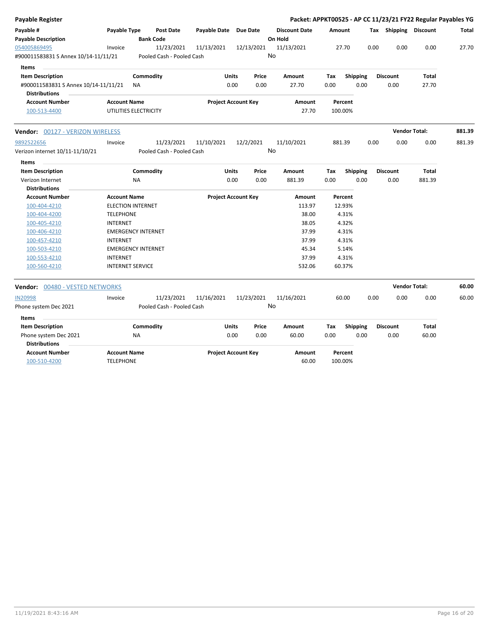| <b>Payable Register</b>                 |                           |                                      |                       |                            |       |                                 |        |                 |      |                       | Packet: APPKT00525 - AP CC 11/23/21 FY22 Regular Payables YG |        |
|-----------------------------------------|---------------------------|--------------------------------------|-----------------------|----------------------------|-------|---------------------------------|--------|-----------------|------|-----------------------|--------------------------------------------------------------|--------|
| Payable #<br><b>Payable Description</b> | Payable Type              | <b>Post Date</b><br><b>Bank Code</b> | Payable Date Due Date |                            |       | <b>Discount Date</b><br>On Hold | Amount |                 |      | Tax Shipping Discount |                                                              | Total  |
| 054005869495                            | Invoice                   | 11/23/2021                           | 11/13/2021            | 12/13/2021                 |       | 11/13/2021                      |        | 27.70           | 0.00 | 0.00                  | 0.00                                                         | 27.70  |
| #900011583831 S Annex 10/14-11/11/21    |                           | Pooled Cash - Pooled Cash            |                       |                            |       | No                              |        |                 |      |                       |                                                              |        |
| Items                                   |                           |                                      |                       |                            |       |                                 |        |                 |      |                       |                                                              |        |
| <b>Item Description</b>                 |                           | Commodity                            |                       | <b>Units</b>               | Price | Amount                          | Tax    | <b>Shipping</b> |      | <b>Discount</b>       | <b>Total</b>                                                 |        |
| #900011583831 S Annex 10/14-11/11/21    | ΝA                        |                                      |                       | 0.00                       | 0.00  | 27.70                           | 0.00   | 0.00            |      | 0.00                  | 27.70                                                        |        |
| <b>Distributions</b>                    |                           |                                      |                       |                            |       |                                 |        |                 |      |                       |                                                              |        |
| <b>Account Number</b>                   | <b>Account Name</b>       |                                      |                       | <b>Project Account Key</b> |       | Amount                          |        | Percent         |      |                       |                                                              |        |
| 100-513-4400                            | UTILITIES ELECTRICITY     |                                      |                       |                            |       | 27.70                           |        | 100.00%         |      |                       |                                                              |        |
| Vendor: 00127 - VERIZON WIRELESS        |                           |                                      |                       |                            |       |                                 |        |                 |      |                       | <b>Vendor Total:</b>                                         | 881.39 |
| 9892522656                              | Invoice                   | 11/23/2021                           | 11/10/2021            | 12/2/2021                  |       | 11/10/2021                      |        | 881.39          | 0.00 | 0.00                  | 0.00                                                         | 881.39 |
| Verizon internet 10/11-11/10/21         |                           | Pooled Cash - Pooled Cash            |                       |                            |       | No                              |        |                 |      |                       |                                                              |        |
| <b>Items</b>                            |                           |                                      |                       |                            |       |                                 |        |                 |      |                       |                                                              |        |
| <b>Item Description</b>                 |                           | Commodity                            |                       | Units                      | Price | Amount                          | Tax    | <b>Shipping</b> |      | <b>Discount</b>       | Total                                                        |        |
| Verizon Internet                        | NA                        |                                      |                       | 0.00                       | 0.00  | 881.39                          | 0.00   | 0.00            |      | 0.00                  | 881.39                                                       |        |
| <b>Distributions</b>                    |                           |                                      |                       |                            |       |                                 |        |                 |      |                       |                                                              |        |
| <b>Account Number</b>                   | <b>Account Name</b>       |                                      |                       | <b>Project Account Key</b> |       | Amount                          |        | Percent         |      |                       |                                                              |        |
| 100-404-4210                            | <b>ELECTION INTERNET</b>  |                                      |                       |                            |       | 113.97                          |        | 12.93%          |      |                       |                                                              |        |
| 100-404-4200                            | <b>TELEPHONE</b>          |                                      |                       |                            |       | 38.00                           |        | 4.31%           |      |                       |                                                              |        |
| 100-405-4210                            | <b>INTERNET</b>           |                                      |                       |                            |       | 38.05                           |        | 4.32%           |      |                       |                                                              |        |
| 100-406-4210                            | <b>EMERGENCY INTERNET</b> |                                      |                       |                            |       | 37.99                           |        | 4.31%           |      |                       |                                                              |        |
| 100-457-4210                            | <b>INTERNET</b>           |                                      |                       |                            |       | 37.99                           |        | 4.31%           |      |                       |                                                              |        |
| 100-503-4210                            | <b>EMERGENCY INTERNET</b> |                                      |                       |                            |       | 45.34                           |        | 5.14%           |      |                       |                                                              |        |
| 100-553-4210                            | <b>INTERNET</b>           |                                      |                       |                            |       | 37.99                           |        | 4.31%           |      |                       |                                                              |        |
| 100-560-4210                            | <b>INTERNET SERVICE</b>   |                                      |                       |                            |       | 532.06                          |        | 60.37%          |      |                       |                                                              |        |
| <b>Vendor: 00480 - VESTED NETWORKS</b>  |                           |                                      |                       |                            |       |                                 |        |                 |      | <b>Vendor Total:</b>  |                                                              | 60.00  |
| <b>IN20998</b>                          | Invoice                   | 11/23/2021                           | 11/16/2021            | 11/23/2021                 |       | 11/16/2021                      |        | 60.00           | 0.00 | 0.00                  | 0.00                                                         | 60.00  |
| Phone system Dec 2021                   |                           | Pooled Cash - Pooled Cash            |                       |                            |       | No                              |        |                 |      |                       |                                                              |        |
| <b>Items</b>                            |                           |                                      |                       |                            |       |                                 |        |                 |      |                       |                                                              |        |
| <b>Item Description</b>                 |                           | Commodity                            |                       | <b>Units</b>               | Price | Amount                          | Tax    | <b>Shipping</b> |      | <b>Discount</b>       | <b>Total</b>                                                 |        |
| Phone system Dec 2021                   | ΝA                        |                                      |                       | 0.00                       | 0.00  | 60.00                           | 0.00   | 0.00            |      | 0.00                  | 60.00                                                        |        |
| <b>Distributions</b>                    |                           |                                      |                       |                            |       |                                 |        |                 |      |                       |                                                              |        |
| <b>Account Number</b>                   | <b>Account Name</b>       |                                      |                       | <b>Project Account Key</b> |       | <b>Amount</b>                   |        | Percent         |      |                       |                                                              |        |
| 100-510-4200                            | <b>TELEPHONE</b>          |                                      |                       |                            |       | 60.00                           |        | 100.00%         |      |                       |                                                              |        |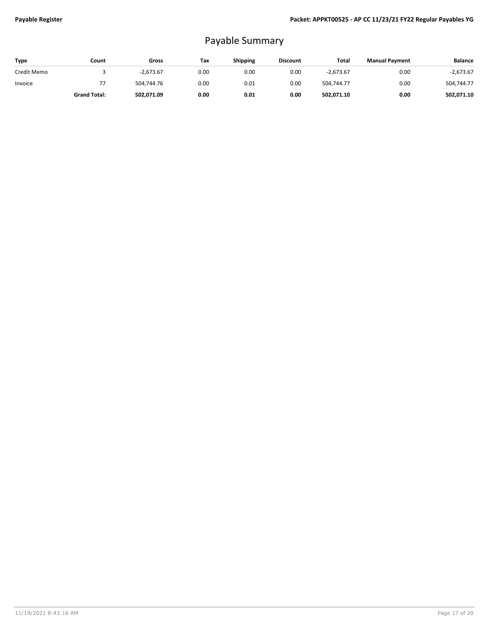# Payable Summary

| Type        | Count               | Gross       | Tax  | <b>Shipping</b> | <b>Discount</b> | Total       | <b>Manual Payment</b> | <b>Balance</b> |
|-------------|---------------------|-------------|------|-----------------|-----------------|-------------|-----------------------|----------------|
| Credit Memo |                     | $-2.673.67$ | 0.00 | 0.00            | 0.00            | $-2.673.67$ | 0.00                  | $-2,673.67$    |
| Invoice     | 77                  | 504.744.76  | 0.00 | 0.01            | 0.00            | 504.744.77  | 0.00                  | 504,744.77     |
|             | <b>Grand Total:</b> | 502,071.09  | 0.00 | 0.01            | 0.00            | 502,071.10  | 0.00                  | 502,071.10     |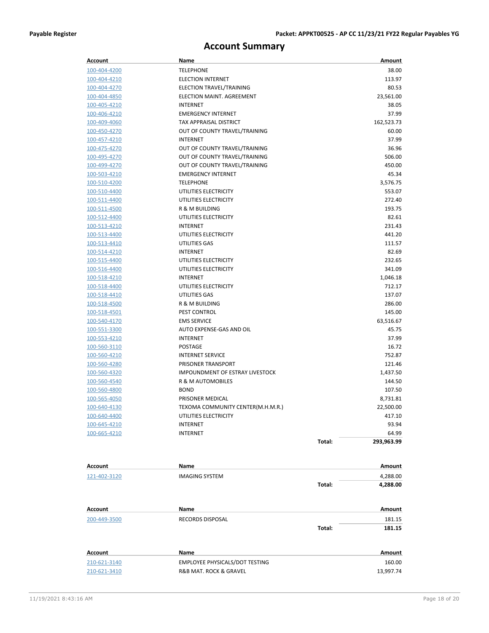# **Account Summary**

| <b>Account</b>               | Name                                                         |        | Amount              |
|------------------------------|--------------------------------------------------------------|--------|---------------------|
| 100-404-4200                 | <b>TELEPHONE</b>                                             |        | 38.00               |
| 100-404-4210                 | <b>ELECTION INTERNET</b>                                     |        | 113.97              |
| 100-404-4270                 | ELECTION TRAVEL/TRAINING                                     |        | 80.53               |
| 100-404-4850                 | ELECTION MAINT. AGREEMENT                                    |        | 23,561.00           |
| 100-405-4210                 | <b>INTERNET</b>                                              |        | 38.05               |
| 100-406-4210                 | <b>EMERGENCY INTERNET</b>                                    |        | 37.99               |
| 100-409-4060                 | TAX APPRAISAL DISTRICT                                       |        | 162,523.73          |
| 100-450-4270                 | OUT OF COUNTY TRAVEL/TRAINING                                |        | 60.00               |
| 100-457-4210                 | <b>INTERNET</b>                                              |        | 37.99               |
| 100-475-4270                 | OUT OF COUNTY TRAVEL/TRAINING                                |        | 36.96               |
| 100-495-4270                 | OUT OF COUNTY TRAVEL/TRAINING                                |        | 506.00              |
| 100-499-4270                 | OUT OF COUNTY TRAVEL/TRAINING                                |        | 450.00              |
| 100-503-4210                 | <b>EMERGENCY INTERNET</b>                                    |        | 45.34               |
| 100-510-4200                 | <b>TELEPHONE</b>                                             |        | 3,576.75            |
| 100-510-4400                 | UTILITIES ELECTRICITY                                        |        | 553.07              |
| 100-511-4400                 | UTILITIES ELECTRICITY                                        |        | 272.40              |
| 100-511-4500                 | R & M BUILDING                                               |        | 193.75              |
| 100-512-4400                 | UTILITIES ELECTRICITY                                        |        | 82.61               |
| 100-513-4210                 | <b>INTERNET</b>                                              |        | 231.43              |
| 100-513-4400                 | UTILITIES ELECTRICITY                                        |        | 441.20              |
| 100-513-4410                 | UTILITIES GAS                                                |        | 111.57              |
| 100-514-4210                 | <b>INTERNET</b>                                              |        | 82.69               |
| 100-515-4400                 | UTILITIES ELECTRICITY                                        |        | 232.65              |
| 100-516-4400                 | UTILITIES ELECTRICITY                                        |        | 341.09              |
| 100-518-4210                 | <b>INTERNET</b>                                              |        | 1,046.18            |
| 100-518-4400                 | UTILITIES ELECTRICITY                                        |        | 712.17              |
| 100-518-4410                 | UTILITIES GAS                                                |        | 137.07              |
| 100-518-4500                 | R & M BUILDING                                               |        | 286.00              |
| 100-518-4501                 | PEST CONTROL                                                 |        | 145.00              |
| 100-540-4170                 | <b>EMS SERVICE</b>                                           |        | 63,516.67           |
| 100-551-3300                 | AUTO EXPENSE-GAS AND OIL                                     |        | 45.75               |
| 100-553-4210                 | INTERNET                                                     |        | 37.99               |
| 100-560-3110                 | <b>POSTAGE</b>                                               |        | 16.72               |
| 100-560-4210                 | <b>INTERNET SERVICE</b>                                      |        | 752.87              |
| 100-560-4280                 | PRISONER TRANSPORT<br><b>IMPOUNDMENT OF ESTRAY LIVESTOCK</b> |        | 121.46              |
| 100-560-4320                 |                                                              |        | 1,437.50            |
| 100-560-4540                 | R & M AUTOMOBILES                                            |        | 144.50              |
| 100-560-4800                 | <b>BOND</b>                                                  |        | 107.50              |
| 100-565-4050<br>100-640-4130 | PRISONER MEDICAL<br>TEXOMA COMMUNITY CENTER(M.H.M.R.)        |        | 8,731.81            |
| 100-640-4400                 |                                                              |        | 22,500.00<br>417.10 |
| 100-645-4210                 | UTILITIES ELECTRICITY<br><b>INTERNET</b>                     |        | 93.94               |
| 100-665-4210                 | <b>INTERNET</b>                                              |        | 64.99               |
|                              |                                                              | Total: | 293,963.99          |
|                              |                                                              |        |                     |
|                              |                                                              |        |                     |
| <b>Account</b>               | <b>Name</b>                                                  |        | Amount              |
| 121-402-3120                 | <b>IMAGING SYSTEM</b>                                        |        | 4,288.00            |
|                              |                                                              | Total: | 4,288.00            |
|                              |                                                              |        |                     |
| Account                      | Name                                                         |        | Amount              |
| 200-449-3500                 | RECORDS DISPOSAL                                             |        | 181.15              |
|                              |                                                              | Total: | 181.15              |
|                              |                                                              |        |                     |
|                              |                                                              |        |                     |
| <b>Account</b>               | Name                                                         |        | Amount              |
| 210-621-3140                 | EMPLOYEE PHYSICALS/DOT TESTING                               |        | 160.00              |
| 210-621-3410                 | R&B MAT. ROCK & GRAVEL                                       |        | 13,997.74           |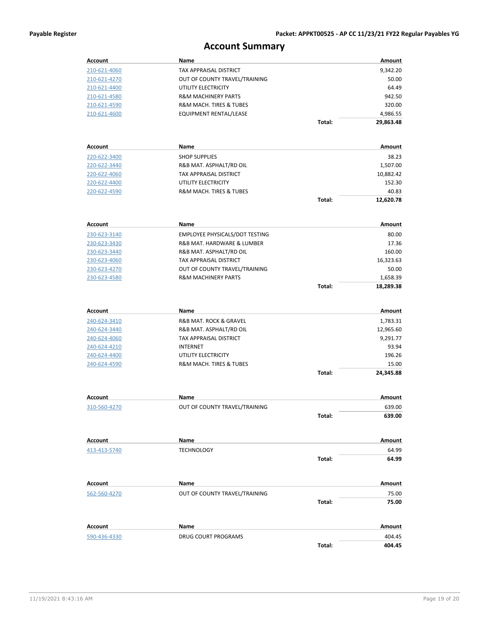# **Account Summary**

| Account             | Name                                           |        | Amount          |
|---------------------|------------------------------------------------|--------|-----------------|
| 210-621-4060        | TAX APPRAISAL DISTRICT                         |        | 9,342.20        |
| 210-621-4270        | OUT OF COUNTY TRAVEL/TRAINING                  |        | 50.00           |
| 210-621-4400        | UTILITY ELECTRICITY                            |        | 64.49           |
| 210-621-4580        | <b>R&amp;M MACHINERY PARTS</b>                 |        | 942.50          |
| 210-621-4590        | R&M MACH. TIRES & TUBES                        |        | 320.00          |
| <u>210-621-4600</u> | EQUIPMENT RENTAL/LEASE                         |        | 4,986.55        |
|                     |                                                | Total: | 29,863.48       |
|                     |                                                |        |                 |
| Account             | Name                                           |        | Amount          |
| 220-622-3400        | <b>SHOP SUPPLIES</b>                           |        | 38.23           |
| 220-622-3440        | R&B MAT. ASPHALT/RD OIL                        |        | 1,507.00        |
| 220-622-4060        | TAX APPRAISAL DISTRICT                         |        | 10,882.42       |
| 220-622-4400        | UTILITY ELECTRICITY                            |        | 152.30          |
| 220-622-4590        | R&M MACH. TIRES & TUBES                        |        | 40.83           |
|                     |                                                | Total: | 12,620.78       |
|                     |                                                |        |                 |
| <b>Account</b>      | Name                                           |        | Amount          |
| 230-623-3140        | EMPLOYEE PHYSICALS/DOT TESTING                 |        | 80.00           |
| 230-623-3430        | R&B MAT. HARDWARE & LUMBER                     |        | 17.36           |
| 230-623-3440        | R&B MAT. ASPHALT/RD OIL                        |        | 160.00          |
| 230-623-4060        | TAX APPRAISAL DISTRICT                         |        | 16,323.63       |
| 230-623-4270        | OUT OF COUNTY TRAVEL/TRAINING                  |        | 50.00           |
| 230-623-4580        | <b>R&amp;M MACHINERY PARTS</b>                 |        | 1,658.39        |
|                     |                                                | Total: | 18,289.38       |
|                     |                                                |        |                 |
| <b>Account</b>      | Name                                           |        | Amount          |
| 240-624-3410        | R&B MAT. ROCK & GRAVEL                         |        | 1,783.31        |
| <u>240-624-3440</u> | R&B MAT. ASPHALT/RD OIL                        |        | 12,965.60       |
| 240-624-4060        | TAX APPRAISAL DISTRICT                         |        | 9,291.77        |
| 240-624-4210        | INTERNET                                       |        | 93.94           |
| 240-624-4400        | UTILITY ELECTRICITY<br>R&M MACH. TIRES & TUBES |        | 196.26<br>15.00 |
| 240-624-4590        |                                                | Total: |                 |
|                     |                                                |        | 24,345.88       |
| Account             | Name                                           |        | Amount          |
| 310-560-4270        | OUT OF COUNTY TRAVEL/TRAINING                  |        | 639.00          |
|                     |                                                | Total: | 639.00          |
|                     |                                                |        |                 |
| Account             | Name                                           |        | Amount          |
| 413-413-5740        | <b>TECHNOLOGY</b>                              |        | 64.99           |
|                     |                                                | Total: | 64.99           |
|                     |                                                |        |                 |
| Account             | Name                                           |        | Amount          |
| 562-560-4270        | OUT OF COUNTY TRAVEL/TRAINING                  |        | 75.00           |
|                     |                                                | Total: | 75.00           |
|                     |                                                |        |                 |
| <b>Account</b>      | Name                                           |        | Amount          |
| 590-436-4330        | DRUG COURT PROGRAMS                            |        | 404.45          |
|                     |                                                | Total: | 404.45          |